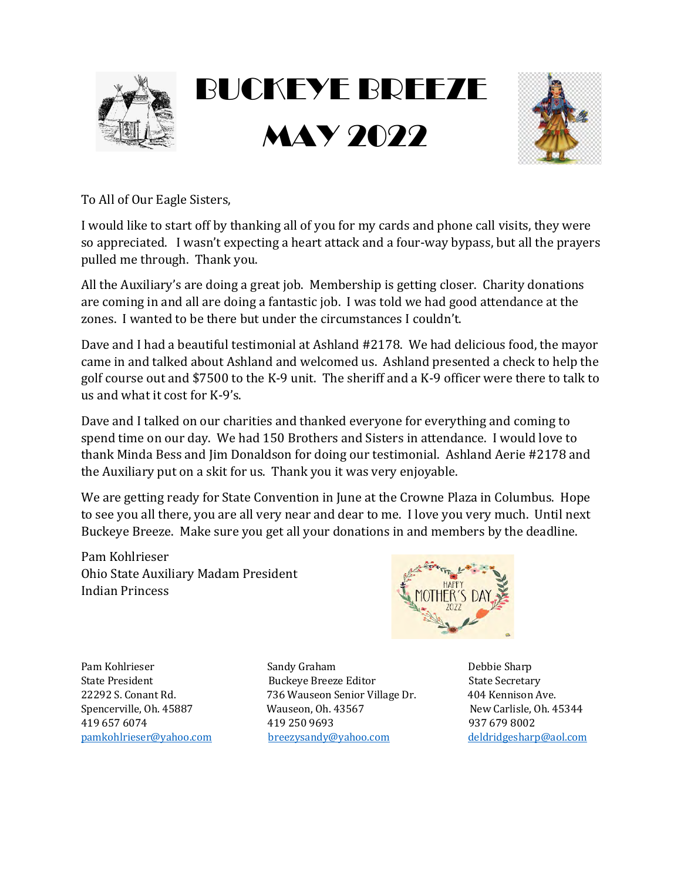



To All of Our Eagle Sisters,

I would like to start off by thanking all of you for my cards and phone call visits, they were so appreciated. I wasn't expecting a heart attack and a four-way bypass, but all the prayers pulled me through. Thank you.

All the Auxiliary's are doing a great job. Membership is getting closer. Charity donations are coming in and all are doing a fantastic job. I was told we had good attendance at the zones. I wanted to be there but under the circumstances I couldn't.

Dave and I had a beautiful testimonial at Ashland #2178. We had delicious food, the mayor came in and talked about Ashland and welcomed us. Ashland presented a check to help the golf course out and \$7500 to the K-9 unit. The sheriff and a K-9 officer were there to talk to us and what it cost for K-9's.

Dave and I talked on our charities and thanked everyone for everything and coming to spend time on our day. We had 150 Brothers and Sisters in attendance. I would love to thank Minda Bess and Jim Donaldson for doing our testimonial. Ashland Aerie #2178 and the Auxiliary put on a skit for us. Thank you it was very enjoyable.

We are getting ready for State Convention in June at the Crowne Plaza in Columbus. Hope to see you all there, you are all very near and dear to me. I love you very much. Until next Buckeye Breeze. Make sure you get all your donations in and members by the deadline.

Pam Kohlrieser Ohio State Auxiliary Madam President Indian Princess



Pam Kohlrieser **Brandy Sandy Graham Brandy Communist Communist Communist Communist Communist Communist Communist Communist Communist Communist Communist Communist Communist Communist Communist Communist Communist Communi** State President **State Communist Communist Communist Communist Communist Communist Communist Communist Communist Communist Communist Communist Communist Communist Communist Communist Communist Communist Communist Communist** 22292 S. Conant Rd. *T36 Wauseon Senior Village Dr.* 404 Kennison Ave. Spencerville, Oh. 45887 Wauseon, Oh. 43567 New Carlisle, Oh. 45344 419 657 6074 419 250 9693 937 679 8002 pamkohlrieser@yahoo.com breezysandy@yahoo.com deldridgesharp@aol.com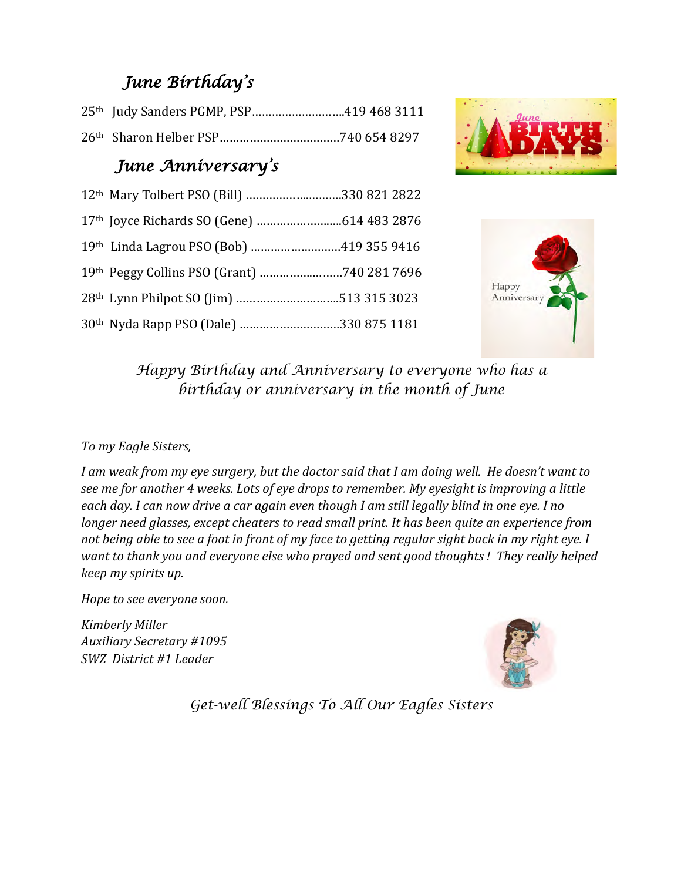# *June Birthday's*

|  | 25th Judy Sanders PGMP, PSP419 468 3111 |
|--|-----------------------------------------|
|  |                                         |

### *June Anniversary's*

| 12th Mary Tolbert PSO (Bill) 330 821 2822           |
|-----------------------------------------------------|
|                                                     |
| 19th Linda Lagrou PSO (Bob) 419 355 9416            |
| 19th Peggy Collins PSO (Grant) 740 281 7696         |
| 28 <sup>th</sup> Lynn Philpot SO (Jim) 513 315 3023 |
| 30 <sup>th</sup> Nyda Rapp PSO (Dale) 330 875 1181  |





*Happy Birthday and Anniversary to everyone who has a birthday or anniversary in the month of June* 

### *To my Eagle Sisters,*

I am weak from my eye surgery, but the doctor said that I am doing well. He doesn't want to see me for another 4 weeks. Lots of eye drops to remember. My eyesight is improving a little each day. I can now drive a car again even though I am still legally blind in one eye. I no *longer need glasses, except cheaters to read small print. It has been quite an experience from not being able to see a foot in front of my face to getting regular sight back in my right eye. I want to thank you and everyone else who prayed and sent good thoughts! They really helped keep my spirits up.*

*Hope to see everyone soon.*

*Kimberly Miller* Auxiliary Secretary #1095 *SWZ* District #1 Leader



*Get-well Blessings To All Our Eagles Sisters*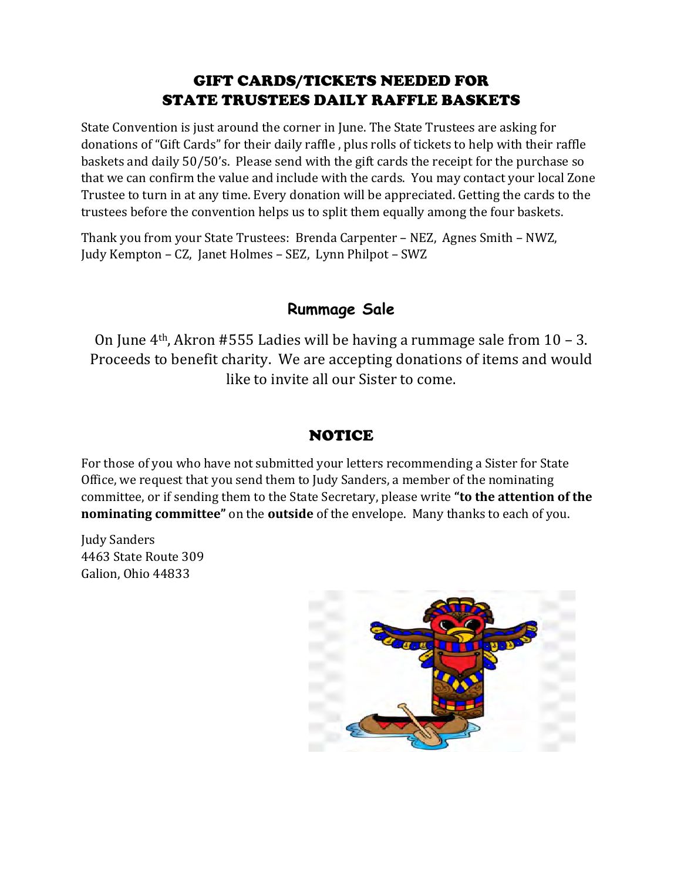### GIFT CARDS/TICKETS NEEDED FOR STATE TRUSTEES DAILY RAFFLE BASKETS

State Convention is just around the corner in June. The State Trustees are asking for donations of "Gift Cards" for their daily raffle, plus rolls of tickets to help with their raffle baskets and daily 50/50's. Please send with the gift cards the receipt for the purchase so that we can confirm the value and include with the cards. You may contact your local Zone Trustee to turn in at any time. Every donation will be appreciated. Getting the cards to the trustees before the convention helps us to split them equally among the four baskets.

Thank you from your State Trustees: Brenda Carpenter - NEZ, Agnes Smith - NWZ, Judy Kempton – CZ, Janet Holmes – SEZ, Lynn Philpot – SWZ

### **Rummage Sale**

On June  $4<sup>th</sup>$ , Akron #555 Ladies will be having a rummage sale from 10 – 3. Proceeds to benefit charity. We are accepting donations of items and would like to invite all our Sister to come.

### NOTICE

For those of you who have not submitted your letters recommending a Sister for State Office, we request that you send them to Judy Sanders, a member of the nominating committee, or if sending them to the State Secretary, please write "to the attention of the **nominating committee"** on the **outside** of the envelope. Many thanks to each of you.

**Judy Sanders** 4463 State Route 309 Galion, Ohio 44833

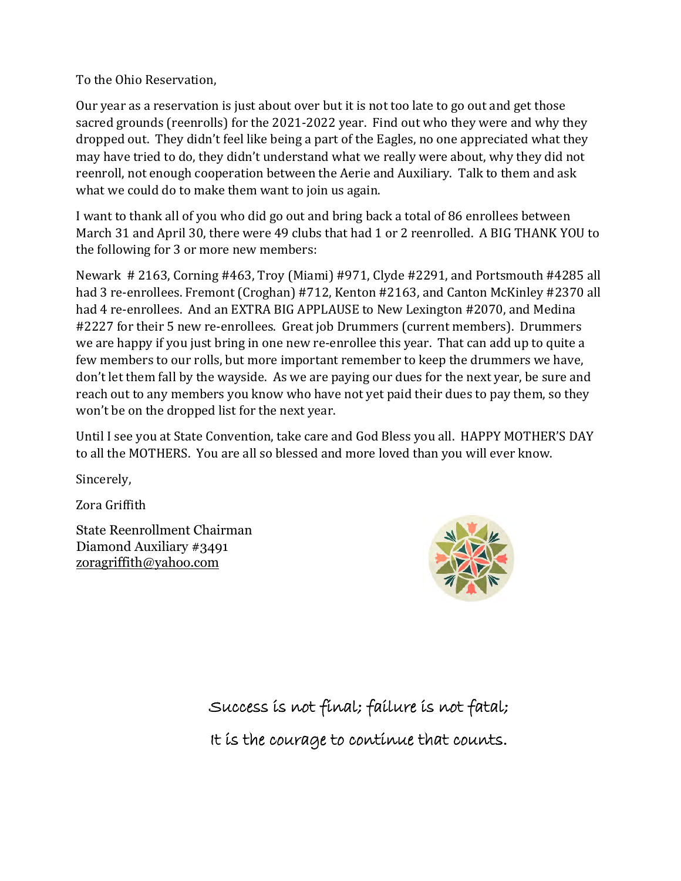To the Ohio Reservation,

Our year as a reservation is just about over but it is not too late to go out and get those sacred grounds (reenrolls) for the 2021-2022 year. Find out who they were and why they dropped out. They didn't feel like being a part of the Eagles, no one appreciated what they may have tried to do, they didn't understand what we really were about, why they did not reenroll, not enough cooperation between the Aerie and Auxiliary. Talk to them and ask what we could do to make them want to join us again.

I want to thank all of you who did go out and bring back a total of 86 enrollees between March 31 and April 30, there were 49 clubs that had 1 or 2 reenrolled. A BIG THANK YOU to the following for 3 or more new members:

Newark # 2163, Corning #463, Troy (Miami) #971, Clyde #2291, and Portsmouth #4285 all had 3 re-enrollees. Fremont (Croghan) #712, Kenton #2163, and Canton McKinley #2370 all had 4 re-enrollees. And an EXTRA BIG APPLAUSE to New Lexington #2070, and Medina #2227 for their 5 new re-enrollees. Great job Drummers (current members). Drummers we are happy if you just bring in one new re-enrollee this year. That can add up to quite a few members to our rolls, but more important remember to keep the drummers we have, don't let them fall by the wayside. As we are paying our dues for the next year, be sure and reach out to any members you know who have not yet paid their dues to pay them, so they won't be on the dropped list for the next year.

Until I see you at State Convention, take care and God Bless you all. HAPPY MOTHER'S DAY to all the MOTHERS. You are all so blessed and more loved than you will ever know.

Sincerely,

 $\overline{\text{Zora}}$  Griffith

State Reenrollment Chairman Diamond Auxiliary #3491 zoragriffith@yahoo.com



Success is not final; failure is not fatal;

It is the courage to continue that counts.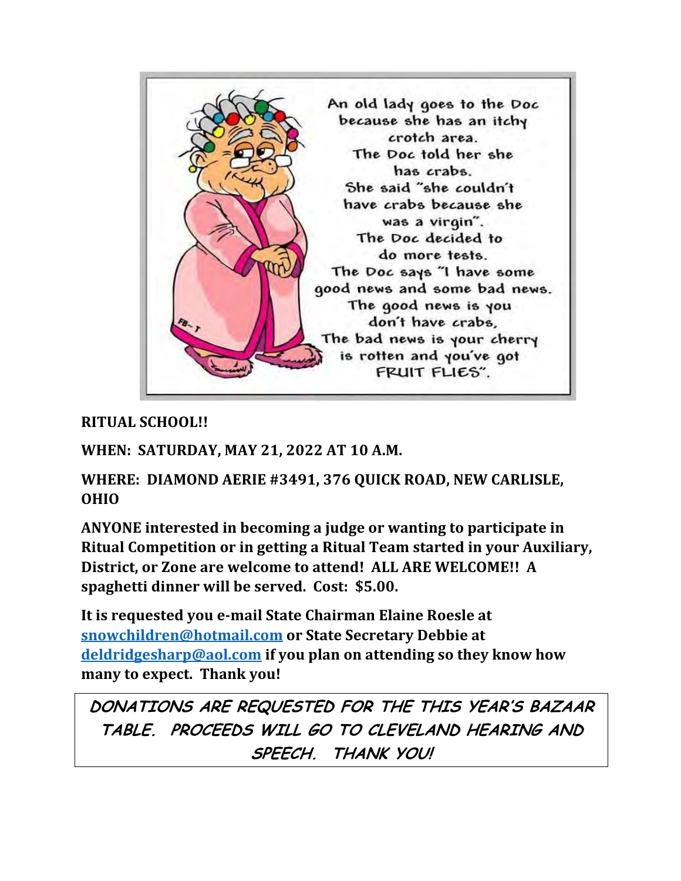

**RITUAL SCHOOL!!**

WHEN: SATURDAY, MAY 21, 2022 AT 10 A.M.

WHERE: DIAMOND AERIE #3491, 376 QUICK ROAD, NEW CARLISLE, **OHIO**

ANYONE interested in becoming a judge or wanting to participate in **Ritual Competition or in getting a Ritual Team started in your Auxiliary,** District, or Zone are welcome to attend! ALL ARE WELCOME!! A spaghetti dinner will be served. Cost: \$5.00.

It is requested you e-mail State Chairman Elaine Roesle at **snowchildren@hotmail.com** or State Secretary Debbie at deldridgesharp@aol.com if you plan on attending so they know how many to expect. Thank you!

**DONATIONS ARE REQUESTED FOR THE THIS YEAR'S BAZAAR TABLE. PROCEEDS WILL GO TO CLEVELAND HEARING AND SPEECH. THANK YOU!**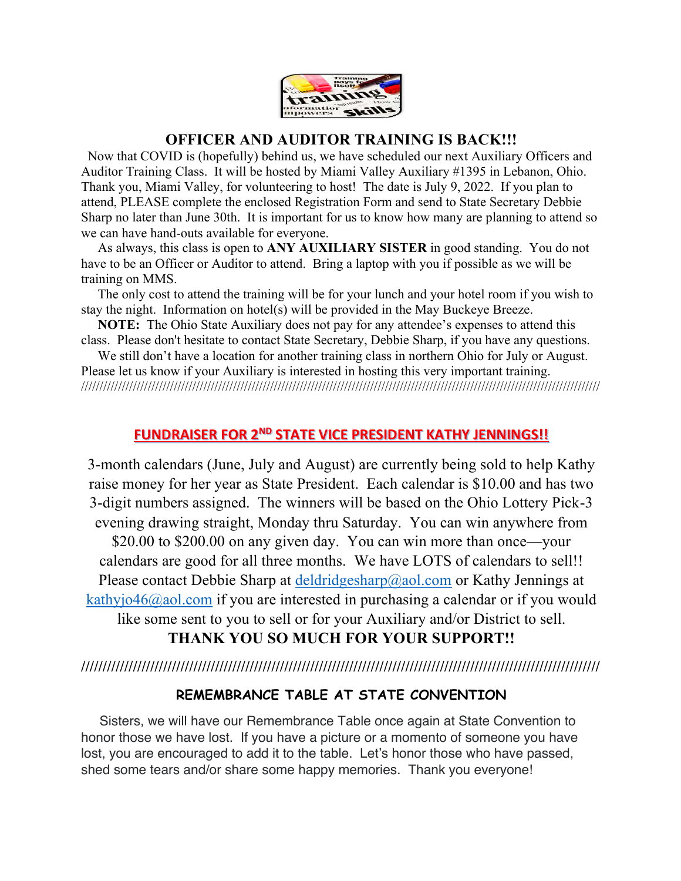

### **OFFICER AND AUDITOR TRAINING IS BACK!!!**

 Now that COVID is (hopefully) behind us, we have scheduled our next Auxiliary Officers and Auditor Training Class. It will be hosted by Miami Valley Auxiliary #1395 in Lebanon, Ohio. Thank you, Miami Valley, for volunteering to host! The date is July 9, 2022. If you plan to attend, PLEASE complete the enclosed Registration Form and send to State Secretary Debbie Sharp no later than June 30th. It is important for us to know how many are planning to attend so we can have hand-outs available for everyone.

 As always, this class is open to **ANY AUXILIARY SISTER** in good standing. You do not have to be an Officer or Auditor to attend. Bring a laptop with you if possible as we will be training on MMS.

 The only cost to attend the training will be for your lunch and your hotel room if you wish to stay the night. Information on hotel(s) will be provided in the May Buckeye Breeze.

 **NOTE:** The Ohio State Auxiliary does not pay for any attendee's expenses to attend this class. Please don't hesitate to contact State Secretary, Debbie Sharp, if you have any questions.

We still don't have a location for another training class in northern Ohio for July or August. Please let us know if your Auxiliary is interested in hosting this very important training. ////////////////////////////////////////////////////////////////////////////////////////////////////////////////////////////////////////////

### **FUNDRAISER FOR 2ND STATE VICE PRESIDENT KATHY JENNINGS!!**

3-month calendars (June, July and August) are currently being sold to help Kathy raise money for her year as State President. Each calendar is \$10.00 and has two 3-digit numbers assigned. The winners will be based on the Ohio Lottery Pick-3 evening drawing straight, Monday thru Saturday. You can win anywhere from \$20.00 to \$200.00 on any given day. You can win more than once—your calendars are good for all three months. We have LOTS of calendars to sell!! Please contact Debbie Sharp at  $\frac{\text{deldridgesharp}(a)}{\text{dual.com}}$  or Kathy Jennings at kathyjo46@aol.com if you are interested in purchasing a calendar or if you would like some sent to you to sell or for your Auxiliary and/or District to sell.

**THANK YOU SO MUCH FOR YOUR SUPPORT!!**

**////////////////////////////////////////////////////////////////////////////////////////////////////////////////////////**

### **REMEMBRANCE TABLE AT STATE CONVENTION**

 Sisters, we will have our Remembrance Table once again at State Convention to honor those we have lost. If you have a picture or a momento of someone you have lost, you are encouraged to add it to the table. Let's honor those who have passed, shed some tears and/or share some happy memories. Thank you everyone!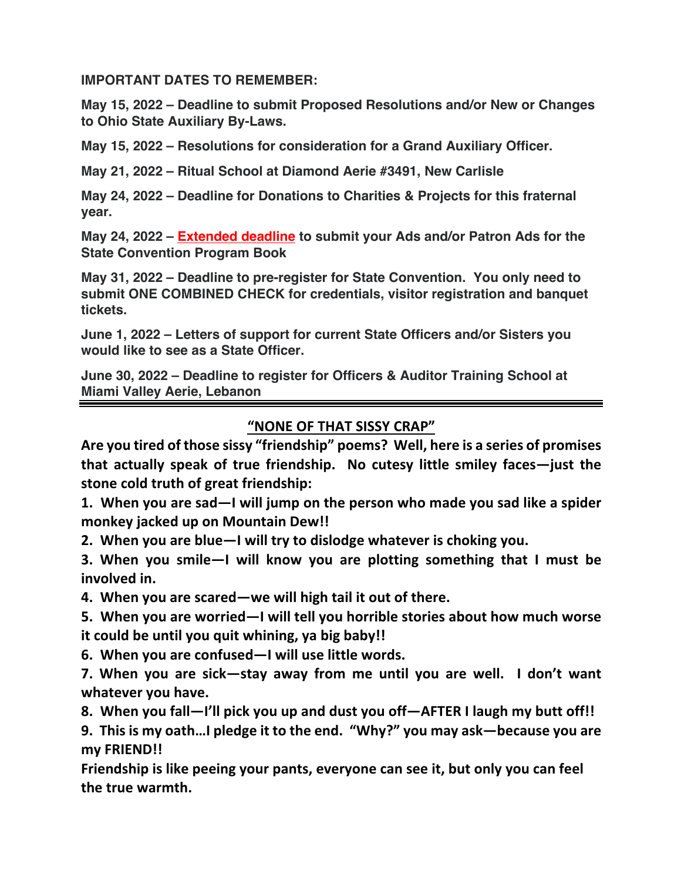**IMPORTANT DATES TO REMEMBER:**

**May 15, 2022 – Deadline to submit Proposed Resolutions and/or New or Changes to Ohio State Auxiliary By-Laws.**

**May 15, 2022 – Resolutions for consideration for a Grand Auxiliary Officer.**

**May 21, 2022 – Ritual School at Diamond Aerie #3491, New Carlisle**

**May 24, 2022 – Deadline for Donations to Charities & Projects for this fraternal year.**

**May 24, 2022 – Extended deadline to submit your Ads and/or Patron Ads for the State Convention Program Book**

**May 31, 2022 – Deadline to pre-register for State Convention. You only need to submit ONE COMBINED CHECK for credentials, visitor registration and banquet tickets.**

**June 1, 2022 – Letters of support for current State Officers and/or Sisters you would like to see as a State Officer.**

**June 30, 2022 – Deadline to register for Officers & Auditor Training School at Miami Valley Aerie, Lebanon**

**"NONE OF THAT SISSY CRAP"**

**Are you tired of those sissy "friendship" poems? Well, here is a series of promises that actually speak of true friendship. No cutesy little smiley faces—just the stone cold truth of great friendship:**

**1. When you are sad—I will jump on the person who made you sad like a spider monkey jacked up on Mountain Dew!!**

**2. When you are blue—I will try to dislodge whatever is choking you.**

**3. When you smile—I will know you are plotting something that I must be involved in.**

**4. When you are scared—we will high tail it out of there.**

**5. When you are worried—I will tell you horrible stories about how much worse it could be until you quit whining, ya big baby!!**

**6. When you are confused—I will use little words.** 

**7. When you are sick—stay away from me until you are well. I don't want whatever you have.**

**8. When you fall—I'll pick you up and dust you off—AFTER I laugh my butt off!!**

**9. This is my oath…I pledge it to the end. "Why?" you may ask—because you are my FRIEND!!**

**Friendship is like peeing your pants, everyone can see it, but only you can feel the true warmth.**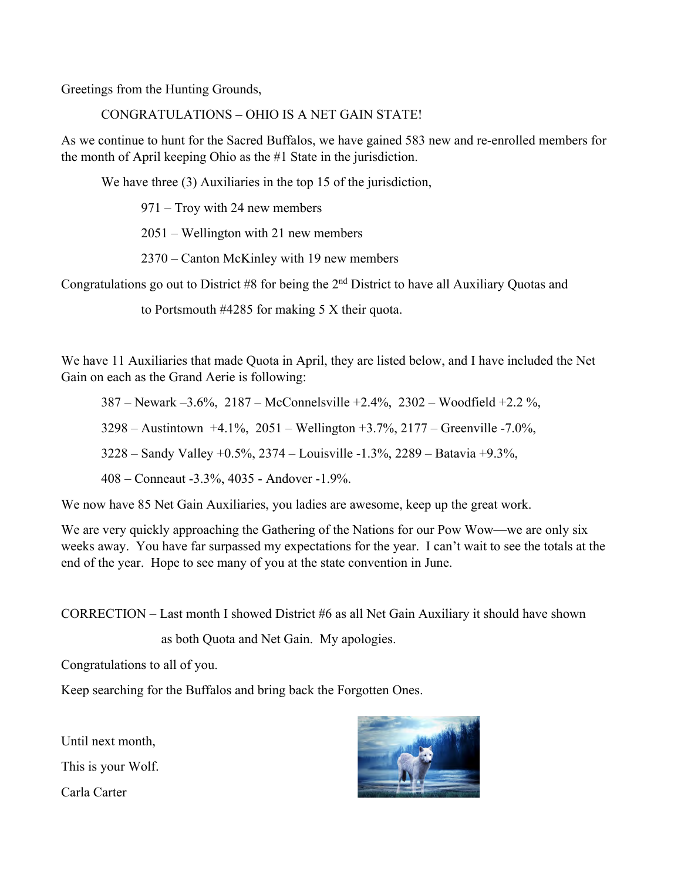Greetings from the Hunting Grounds,

CONGRATULATIONS – OHIO IS A NET GAIN STATE!

As we continue to hunt for the Sacred Buffalos, we have gained 583 new and re-enrolled members for the month of April keeping Ohio as the #1 State in the jurisdiction.

We have three (3) Auxiliaries in the top 15 of the jurisdiction,

971 – Troy with 24 new members

2051 – Wellington with 21 new members

2370 – Canton McKinley with 19 new members

Congratulations go out to District #8 for being the 2nd District to have all Auxiliary Quotas and

to Portsmouth #4285 for making 5 X their quota.

We have 11 Auxiliaries that made Quota in April, they are listed below, and I have included the Net Gain on each as the Grand Aerie is following:

387 – Newark –3.6%, 2187 – McConnelsville +2.4%, 2302 – Woodfield +2.2 %,

3298 – Austintown +4.1%, 2051 – Wellington +3.7%, 2177 – Greenville -7.0%,

3228 – Sandy Valley +0.5%, 2374 – Louisville -1.3%, 2289 – Batavia +9.3%,

408 – Conneaut -3.3%, 4035 - Andover -1.9%.

We now have 85 Net Gain Auxiliaries, you ladies are awesome, keep up the great work.

We are very quickly approaching the Gathering of the Nations for our Pow Wow—we are only six weeks away. You have far surpassed my expectations for the year. I can't wait to see the totals at the end of the year. Hope to see many of you at the state convention in June.

CORRECTION – Last month I showed District #6 as all Net Gain Auxiliary it should have shown

as both Quota and Net Gain. My apologies.

Congratulations to all of you.

Keep searching for the Buffalos and bring back the Forgotten Ones.

Until next month,

This is your Wolf.

Carla Carter

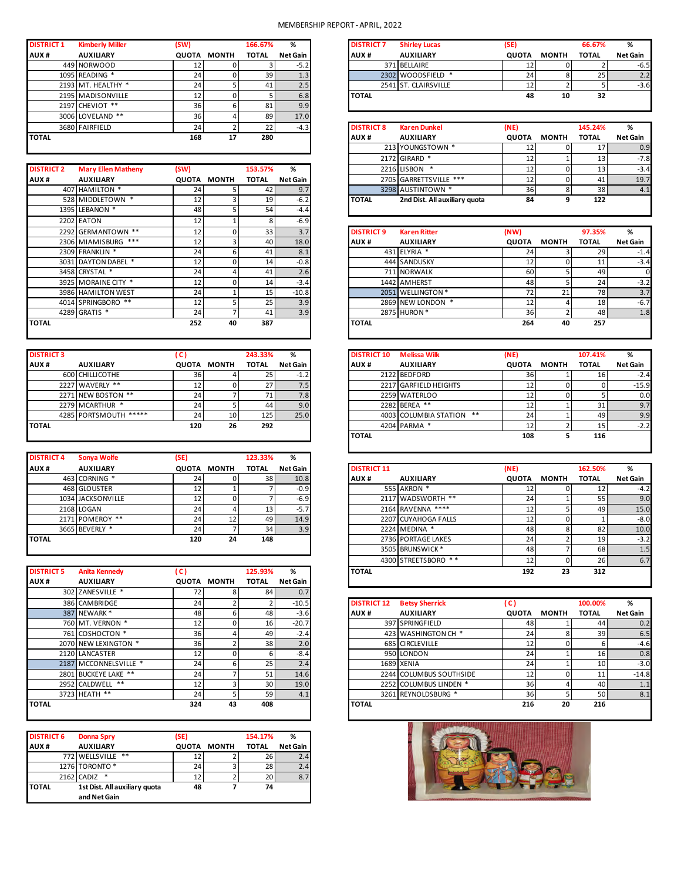### MEMBERSHIP REPORT - APRIL, 2022

| <b>DISTRICT 1</b> | <b>Kimberly Miller</b> | (SW)         |       | 166.67%      | %               |
|-------------------|------------------------|--------------|-------|--------------|-----------------|
| AUX#              | <b>AUXILIARY</b>       | <b>QUOTA</b> | MONTH | <b>TOTAL</b> | <b>Net Gain</b> |
|                   | 449 NORWOOD            | 12           |       |              | $-5.2$          |
|                   | 1095 READING *         | 24           |       | 39           | 1.3             |
|                   | 2193 MT. HEALTHY *     | 24           |       | 41           | 2.5             |
|                   | 2195 MADISONVILLE      | 12           |       | 5            | 6.8             |
|                   | 2197 CHEVIOT **        | 36           | 6     | 81           | 9.9             |
|                   | 3006 LOVELAND **       | 36           | 4     | 89           | 17.0            |
|                   | 3680 FAIRFIELD         | 24           |       | 22           | $-4.3$          |
| <b>TOTAL</b>      |                        | 168          | 17    | 280          |                 |
|                   |                        |              |       |              |                 |

|                   |                           |                 |                    |              |          |                   | ---------                     | --              |              | --     |
|-------------------|---------------------------|-----------------|--------------------|--------------|----------|-------------------|-------------------------------|-----------------|--------------|--------|
| <b>DISTRICT 2</b> | <b>Mary Ellen Matheny</b> | (SW)            |                    | 153.57%      | %        |                   | 2216 LISBON *                 | 12              | 0            | 13     |
| AUX#              | <b>AUXILIARY</b>          |                 | <b>QUOTA MONTH</b> | <b>TOTAL</b> | Net Gain |                   | 2705 GARRETTSVILLE ***        | 12              | $\mathbf{0}$ | 41     |
|                   | 407 HAMILTON *            | 24              |                    | 42           | 9.7      |                   | 3298 AUSTINTOWN *             | 36 <sup>1</sup> | 8            |        |
|                   | 528 MIDDLETOWN *          | 12              |                    | 19           | $-6.2$   | <b>TOTAL</b>      | 2nd Dist. All auxiliary quota | 84              | 9            | 122    |
|                   | 1395 LEBANON *            | 48              |                    | 54           | $-4.4$   |                   |                               |                 |              |        |
|                   | 2202 EATON                | 12              |                    | 8            | $-6.9$   |                   |                               |                 |              |        |
|                   | 2292 GERMANTOWN **        | 12              |                    | 33           | 3.7      | <b>DISTRICT 9</b> | <b>Karen Ritter</b>           | (NW)            |              | 97.35% |
|                   | 2306 MIAMISBURG ***       | 12              |                    | 40           | 18.0     | AUX <sup>#</sup>  | <b>AUXILIARY</b>              | <b>QUOTA</b>    | <b>MONTH</b> | TOTAL  |
|                   | 2309 FRANKLIN *           | 24              | 6                  | 41           | 8.1      |                   | 431 ELYRIA *                  | 24              |              |        |
|                   | 3031 DAYTON DABEL *       | 12 <sub>1</sub> |                    | 14           | $-0.8$   |                   | 444 SANDUSKY                  | 12              | 0            |        |
|                   | 3458 CRYSTAL *            | 24              |                    | 41           | 2.6      |                   | 711 NORWALK                   | 60              | 51           | 49     |
|                   | 3925 MORAINE CITY *       | 12              |                    | 14           | $-3.4$   |                   | 1442 AMHERST                  | 48              |              |        |
|                   | 3986 HAMILTON WEST        | 24              |                    | 15           | $-10.8$  |                   | 2051 WELLINGTON *             | 721             | 21           |        |
|                   | 4014 SPRINGBORO **        | 12              |                    | 25           | 3.9      |                   | 2869 NEW LONDON *             | 12              | 4            |        |
|                   | 4289 GRATIS *             | 24              |                    | 41           | 3.9      |                   | 2875 HURON *                  | 36 <sup>1</sup> | 2            |        |
| <b>TOTAL</b>      |                           | 252             | 40                 | 387          |          | <b>TOTAL</b>      |                               | 264             | 40           | 257    |

| <b>DISTRICT 3</b> |                       | (C) |                    | 243.33%      | %               |
|-------------------|-----------------------|-----|--------------------|--------------|-----------------|
| AUX#              | <b>AUXILIARY</b>      |     | <b>QUOTA MONTH</b> | <b>TOTAL</b> | <b>Net Gain</b> |
|                   | 600 CHILLICOTHE       | 36  |                    | 25           | $-1.2$          |
|                   | 2227 WAVERLY **       | 12  |                    | 27           | 7.5             |
|                   | 2271 NEW BOSTON **    | 24  |                    | 71           | 7.8             |
|                   | 2279 MCARTHUR *       | 24  |                    | 44           | 9.0             |
|                   | 4285 PORTSMOUTH ***** | 24  | 10                 | 125          | 25.0            |
| <b>TOTAL</b>      |                       | 120 | 26                 | 292          |                 |
|                   |                       |     |                    |              |                 |

| Sonya Wolfe            | (SE)         |              | 123.33%      | %               |
|------------------------|--------------|--------------|--------------|-----------------|
| <b>AUXILIARY</b>       | <b>QUOTA</b> | <b>MONTH</b> | <b>TOTAL</b> | <b>Net Gain</b> |
| CORNING *              | 24           |              | 38           | 10.8            |
| <b>GLOUSTER</b><br>468 | 12           |              |              | $-0.9$          |
| 1034 JACKSONVILLE      | 12           |              |              | $-6.9$          |
| 2168 LOGAN             | 24           |              | 13           | $-5.7$          |
| POMEROY **             | 24           | 12           | 49           | 14.9            |
| 3665 BEVERLY *         | 24           |              | 34           | 3.9             |
|                        | 120          | 24           | 148          |                 |
|                        |              |              |              |                 |

|                                       |                                          |     |             |                         |               |                    | <b>HUUU JIINLLIJUUINU</b> | ᅩᄼ              | v.           |              |
|---------------------------------------|------------------------------------------|-----|-------------|-------------------------|---------------|--------------------|---------------------------|-----------------|--------------|--------------|
| <b>DISTRICT 5</b><br>AUX <sup>#</sup> | <b>Anita Kennedy</b><br><b>AUXILIARY</b> | (C) | QUOTA MONTH | 125.93%<br><b>TOTAL</b> | %<br>Net Gain | <b>TOTAL</b>       |                           | 192             | 23           |              |
|                                       | 302 ZANESVILLE *                         | 72  | 8           | 84                      | 0.7           |                    |                           |                 |              |              |
|                                       | 386 CAMBRIDGE                            | 24  |             |                         | $-10.5$       | <b>DISTRICT 12</b> | <b>Betsy Sherrick</b>     | (C)             |              | 100.00%      |
|                                       | 387 NEWARK*                              | 48  | 6           | 48                      | $-3.6$        | AUX <sup>#</sup>   | <b>AUXILIARY</b>          | <b>QUOTA</b>    | <b>MONTH</b> | <b>TOTAL</b> |
|                                       | 760 MT. VERNON *                         | 12  |             | 16                      | $-20.7$       |                    | 397 SPRINGFIELD           | 48              |              |              |
|                                       | 761 COSHOCTON *                          | 36  |             | 49                      | $-2.4$        |                    | 423 WASHINGTON CH *       | 24              | 8            |              |
|                                       | 2070 NEW LEXINGTON *                     | 36  |             | 38                      | 2.0           |                    | 685 CIRCLEVILLE           | 12              | 0            |              |
|                                       | 2120 LANCASTER                           | 12  |             | b                       | $-8.4$        |                    | 950 LONDON                | 24              |              |              |
|                                       | 2187 MCCONNELSVILLE *                    | 24  |             | 25                      | 2.4           |                    | 1689 XENIA                | 24              |              |              |
|                                       | 2801 BUCKEYE LAKE **                     | 24  |             | 51                      | 14.6          |                    | 2244 COLUMBUS SOUTHSIDE   | 12              | 0            |              |
|                                       | 2952 CALDWELL **                         | 12  |             | 30                      | 19.0          |                    | 2252 COLUMBUS LINDEN *    | 36              | 4            |              |
|                                       | 3723 HEATH **                            | 24  |             | 59                      | 4.1           |                    | 3261 REYNOLDSBURG *       | 36 <sup>1</sup> | 5            |              |
| <b>TOTAL</b>                          |                                          | 324 | 43          | 408                     |               | <b>TOTAL</b>       |                           | 216             | 20           |              |

| <b>DISTRICT 6</b> | <b>Donna Spry</b>             | (SE) |             | 154.17%      | ℅        |
|-------------------|-------------------------------|------|-------------|--------------|----------|
| AUX#              | <b>AUXILIARY</b>              |      | QUOTA MONTH | <b>TOTAL</b> | Net Gain |
|                   | 772 WELLSVILLE **             | 12   |             | 26           | 2.4      |
|                   | 1276 TORONTO <sup>*</sup>     | 24   |             | 28           | 2.4      |
|                   | 2162 CADIZ<br>$\ast$          |      |             | 20           | 8.7      |
| <b>TOTAL</b>      | 1st Dist. All auxiliary quota | 48   |             | 74           |          |
|                   | and Net Gain                  |      |             |              |          |

 $\overline{\phantom{a}}$ 

| <b>DISTRICT 1</b> | <b>Kimberly Miller</b> | (SW)  |              | 166.67%      | %        |
|-------------------|------------------------|-------|--------------|--------------|----------|
|                   | <b>AUXILIARY</b>       | OUOTA | <b>MONTH</b> | <b>TOTAL</b> | Net Gain |
|                   | 449 NORWOOD            |       |              |              | -5.21    |
|                   | 1095 READING *         |       | 0.           | 39           | 1.3      |
|                   | 2193 MT. HEALTHY *     |       |              |              | 2.5      |
|                   | 2195 MADISONVILLE      |       |              |              | 6.8      |
|                   | $7197$ CHEVIOT **      | 361   |              |              | QQ       |

|                   |                           | JV.             |       | ັ            | $\cdots$ |                   |                               |              |              |              |                 |
|-------------------|---------------------------|-----------------|-------|--------------|----------|-------------------|-------------------------------|--------------|--------------|--------------|-----------------|
|                   | 3680 FAIRFIELD            | 24              |       | 22           | $-4.3$   | <b>DISTRICT 8</b> | <b>Karen Dunkel</b>           | (NE)         |              | 145.24%      | %               |
| TOTAL             |                           | 168             | 17    | 280          |          | AUX <sub>#</sub>  | <b>AUXILIARY</b>              | <b>QUOTA</b> | <b>MONTH</b> | <b>TOTAL</b> | <b>Net Gain</b> |
|                   |                           |                 |       |              |          |                   | 213 YOUNGSTOWN *              |              |              |              |                 |
|                   |                           |                 |       |              |          |                   | 2172 GIRARD *                 | 12           |              |              |                 |
| <b>DISTRICT 2</b> | <b>Mary Ellen Matheny</b> | (SW)            |       | 153.57%      | %        |                   | 2216 LISBON *                 | 12           |              |              |                 |
| <b>AUX#</b>       | <b>AUXILIARY</b>          | QUOTA           | MONTH | <b>TOTAL</b> | Net Gain |                   | 2705 GARRETTSVILLE ***        |              |              |              |                 |
|                   | 407 HAMILTON *            |                 |       | 42           | 9.7      |                   | 3298 AUSTINTOWN *             | 36           |              | 38           |                 |
|                   | 528 MIDDLETOWN *          | ᅭ               |       | 19           | $-6.2$   | <b>TOTAL</b>      | 2nd Dist. All auxiliary quota | 84           | 9            | 122          |                 |
|                   | $120F$ IFRANON *          | $\overline{10}$ |       | гA           |          |                   |                               |              |              |              |                 |

| 2292 GERMANTOWN **  | 12 <sub>1</sub> |    | 33 <sub>1</sub> | 3.7     | <b>DISTRICT 9</b> | <b>Karen Ritter</b> | (NW)            |              | 97.35%       | %        |
|---------------------|-----------------|----|-----------------|---------|-------------------|---------------------|-----------------|--------------|--------------|----------|
| 2306 MIAMISBURG *** | 12              |    | 40              | 18.0    | AUX <sup>#</sup>  | <b>AUXILIARY</b>    | <b>QUOTA</b>    | <b>MONTH</b> | <b>TOTAL</b> | Net Gain |
| 2309 FRANKLIN *     | 24              |    | 41              | 8.1     |                   | 431 ELYRIA *        | 24              |              | 29           | $-1.4$   |
| 3031 DAYTON DABEL * | 12 <sup>1</sup> |    | 14              | $-0.8$  |                   | 444 SANDUSKY        | 12              |              | 11           | $-3.4$   |
| 3458 CRYSTAL *      | 24              |    | 41              | 2.6     |                   | 711 NORWALK         | 60              |              | 49           |          |
| 3925 MORAINE CITY * | 12 <sub>1</sub> |    | 14              | $-3.4$  |                   | 1442 AMHERST        | 48              |              | 24           | $-3.2$   |
| 3986 HAMILTON WEST  | 24              |    | 15              | $-10.8$ |                   | 2051 WELLINGTON *   | 72              | 21           | <b>78</b>    | 3.7      |
| 4014 SPRINGBORO **  | 12 <sub>1</sub> |    | 25              | 3.9     |                   | 2869 NEW LONDON *   | 12 <sup>1</sup> |              | 18           | $-6.7$   |
| 4289 GRATIS *       | 24              |    | 41              | 3.9     |                   | 2875 HURON *        | 36 I            |              | 48           | 1.8      |
|                     | 252             | 40 | 387             |         | <b>TOTAL</b>      |                     | 264             | 40           | 257          |          |
|                     |                 |    |                 |         |                   |                     |                 |              |              |          |

| <b>DISTRICT 3</b> |                       | U)    |                 | 243.33%      | %        |
|-------------------|-----------------------|-------|-----------------|--------------|----------|
|                   | <b>AUXILIARY</b>      | QUOTA | MONTH           | <b>TOTAL</b> | Net Gain |
|                   | 600 CHILLICOTHE       | 36 I  |                 | 25           | $-1.2$   |
|                   | 2227 WAVERLY **       | 12    |                 | 27           | 7.5      |
|                   | 2271 NEW BOSTON **    | 24    |                 | 74           | 7.8      |
|                   | 2279 MCARTHUR *       | 24    |                 | 44           | 9.0      |
|                   | 4285 PORTSMOUTH ***** | 24    | 10 <sup>1</sup> | 125          | 25.0     |
|                   |                       | 120   | 26              | 292          |          |
|                   |                       |       |                 |              |          |
|                   |                       |       |                 |              |          |

| --------          | "                    | $-1$ |               | -------         | $\overline{\phantom{a}}$ |                    |                     |              |              |              |                 |
|-------------------|----------------------|------|---------------|-----------------|--------------------------|--------------------|---------------------|--------------|--------------|--------------|-----------------|
| <b>AUX#</b>       | <b>AUXILIARY</b>     |      | QUOTA MONTH   | <b>TOTAL</b>    | <b>Net Gain</b>          | <b>DISTRICT 11</b> |                     | (NE)         |              | 162.50%      |                 |
|                   | 463 CORNING *        | 24'  |               | 38              | 10.8                     | AUX <sup>#</sup>   | <b>AUXILIARY</b>    | <b>QUOTA</b> | <b>MONTH</b> | <b>TOTAL</b> | <b>Net Gain</b> |
|                   | 468 GLOUSTER         | 12   |               |                 | $-0.9$                   |                    | 555 AKRON *         | 12           |              |              |                 |
|                   | 1034 JACKSONVILLE    | 12   |               |                 | $-6.9$                   |                    | 2117 WADSWORTH **   | 24           |              | 55           |                 |
|                   | 2168 LOGAN           | 241  |               | 13              | $-5.7$                   |                    | 2164 RAVENNA ****   | 12           |              | 49           |                 |
|                   | 2171 POMEROY **      | 24   | 12            | 49              | 14.9                     |                    | 2207 CUYAHOGA FALLS | 12           |              |              |                 |
|                   | 3665 BEVERLY *       | 24   |               | 34 <sub>1</sub> | 3.9                      |                    | 2224 MEDINA *       | 48           |              | 82           |                 |
| TOTAL             |                      | 120  | 24            | 148             |                          |                    | 2736 PORTAGE LAKES  | 24           |              | 19           |                 |
|                   |                      |      |               |                 |                          |                    | 3505 BRUNSWICK *    | 48           |              | 68           |                 |
|                   |                      |      |               |                 |                          |                    | 4300 STREETSBORO ** | 12           |              | 26           |                 |
| <b>DISTRICT 5</b> | <b>Anita Kennedy</b> | C)   |               | 125.93%         | %                        | <b>TOTAL</b>       |                     | 192          | 23           | 312          |                 |
| <b>AIIV #</b>     | <b>AUVILIADV</b>     |      | CULOTA MONITH | <b>TOTAL</b>    | Not Coin                 |                    |                     |              |              |              |                 |

|                       | 324         | 43 | 408             |           | <b>TOTAL</b>       |                         | 216          | 20           | 216          |                 |
|-----------------------|-------------|----|-----------------|-----------|--------------------|-------------------------|--------------|--------------|--------------|-----------------|
|                       |             |    |                 |           |                    |                         |              |              |              |                 |
| 3723 HEATH **         | 24          |    | 59              | 4.1       |                    | 3261 REYNOLDSBURG *     | 36           |              | 50           | 8.1             |
| 2952 CALDWELL **      | 12          |    | 30              | 19.0      |                    | 2252 COLUMBUS LINDEN *  | 36           |              | 40           | 1.1             |
| 2801 BUCKEYE LAKE **  | 24          |    | 51              | 14.6      |                    | 2244 COLUMBUS SOUTHSIDE | 12           |              | 11           | $-14.8$         |
| 2187 MCCONNELSVILLE * | 24          |    | 25 <sub>1</sub> | 2.4       |                    | 1689 XENIA              | 24           |              | 10           | $-3.0$          |
| 2120 LANCASTER        | 12          |    | b               | $-8.4$    |                    | 950 LONDON              | 24           |              | 16           | 0.8             |
| 2070 NEW LEXINGTON *  | 36          |    | 38              | 2.0       |                    | 685 CIRCLEVILLE         | 12           |              |              | $-4.6$          |
| 761 COSHOCTON *       | 36          |    | 49              | $-2.4$    |                    | 423 WASHINGTON CH *     | 24           |              | 39           | 6.5             |
| 760 MT. VERNON *      | 12          |    | 16 <sub>1</sub> | $-20.7$   |                    | 397 SPRINGFIELD         | 48           |              | 44           | 0.2             |
| 387 NEWARK*           | 48          |    | 48              | $-3.6$    | AUX <sub>#</sub>   | <b>AUXILIARY</b>        | <b>QUOTA</b> | <b>MONTH</b> | <b>TOTAL</b> | <b>Net Gain</b> |
| 386 CAMBRIDGE         | 24          |    |                 | $-10.5$   | <b>DISTRICT 12</b> | <b>Betsy Sherrick</b>   | (C)          |              | 100.00%      | %               |
|                       | $\cdot$ $-$ |    | $\sim$ .        | $\ddotsc$ |                    |                         |              |              |              |                 |

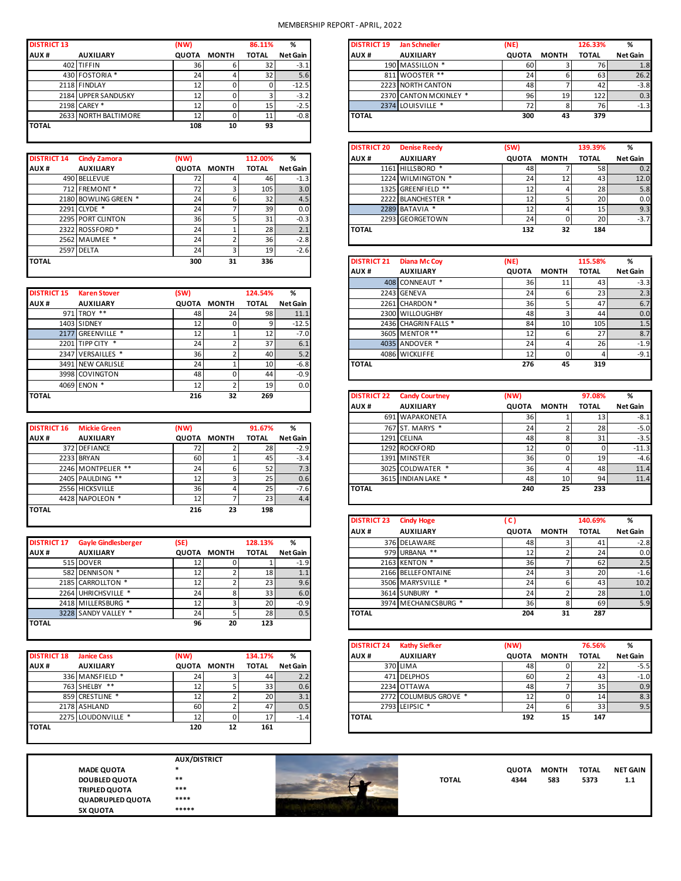### MEMBERSHIP REPORT - APRIL, 2022

| <b>DISTRICT 13</b> |                      | (NW)         |              | 86.11%       | %               |
|--------------------|----------------------|--------------|--------------|--------------|-----------------|
| AUX#               | <b>AUXILIARY</b>     | <b>QUOTA</b> | <b>MONTH</b> | <b>TOTAL</b> | <b>Net Gain</b> |
|                    | 402 TIFFIN           | 36           | 6            | 32           | $-3.1$          |
|                    | 430 FOSTORIA *       | 24           |              | 32           | 5.6             |
|                    | 2118 FINDLAY         | 12           |              |              | $-12.5$         |
|                    | 2184 UPPER SANDUSKY  | 12           |              |              | $-3.2$          |
|                    | 2198 CAREY *         | 12           |              | 15           | $-2.5$          |
|                    | 2633 NORTH BALTIMORE | 12           |              | 11           | $-0.8$          |
| <b>TOTAL</b>       |                      | 108          | 10           | 93           |                 |
|                    |                      |              |              |              |                 |

| <b>DISTRICT 14</b> | <b>Cindy Zamora</b>        | (NW)         |              | 112.00%      | %               |
|--------------------|----------------------------|--------------|--------------|--------------|-----------------|
| AUX#               | <b>AUXILIARY</b>           | <b>QUOTA</b> | <b>MONTH</b> | <b>TOTAL</b> | <b>Net Gain</b> |
|                    | 490 BELLEVUE               | 72           |              | 46           | $-1.3$          |
|                    | 712 FREMONT*               | 72           | 3            | 105          | 3.0             |
|                    | 2180 BOWLING GREEN *       | 24           | 6            | 32           | 4.5             |
| 2291               | CLYDE *                    | 24           |              | 39           | 0.0             |
|                    | 2295 PORT CLINTON          | 36           | 5            | 31           | $-0.3$          |
|                    | 2322 ROSSFORD <sup>*</sup> | 24           |              | 28           | 2.1             |
|                    | 2562 MAUMEE *              | 24           | ำ            | 36           | $-2.8$          |
|                    | 2597 DELTA                 | 24           | 3            | 19           | $-2.6$          |
| <b>TOTAL</b>       |                            | 300          | 31           | 336          |                 |
|                    |                            |              |              |              |                 |

| <b>DISTRICT 15</b> | <b>Karen Stover</b>     | (SW)         |              | 124.54%      | %               |
|--------------------|-------------------------|--------------|--------------|--------------|-----------------|
| AUX#               | <b>AUXILIARY</b>        | <b>QUOTA</b> | <b>MONTH</b> | <b>TOTAL</b> | <b>Net Gain</b> |
|                    | 971 TROY **             | 48           | 24           | 98           | 11.1            |
| 1403               | <b>SIDNEY</b>           | 12           | 0            | 9            | $-12.5$         |
| 2177               | GREENVILLE <sup>*</sup> | 12           | ٠            | 12           | $-7.0$          |
| 2201               | ∗<br>TIPP CITY          | 24           | ำ            | 37           | 6.1             |
| 2347               | VERSAILLES *            | 36           | h            | 40           | 5.2             |
| 3491               | <b>NEW CARLISLE</b>     | 24           | и            | 10           | $-6.8$          |
| 3998               | <b>COVINGTON</b>        | 48           | 0            | 44           | $-0.9$          |
| 4069               | ENON <sup>*</sup>       | 12           | ำ            | 19           | 0.0             |
| <b>TOTAL</b>       |                         | 216          | 32           | 269          |                 |

| Net Gain<br>28<br>45 |
|----------------------|
| $-2.9$<br>$-3.4$     |
|                      |
|                      |
| 7.3<br>52            |
| 0.6<br>25            |
| 25<br>$-7.6$         |
| 23<br>4.4            |
| 198                  |
|                      |

| <b>DISTRICT 17</b> | <b>Gayle Gindlesberger</b> | (SE)         |              | 128.13%      | %               |
|--------------------|----------------------------|--------------|--------------|--------------|-----------------|
| AUX#               | <b>AUXILIARY</b>           | <b>QUOTA</b> | <b>MONTH</b> | <b>TOTAL</b> | <b>Net Gain</b> |
|                    | 515 DOVER                  | 12           |              |              | $-1.9$          |
|                    | 582 DENNISON *             | 12           |              | 18           | 1.1             |
|                    | 2185 CARROLLTON *          | 12           |              | 23           | 9.6             |
|                    | 2264 UHRICHSVILLE *        | 24           | 8            | 33           | 6.0             |
|                    | 2418 MILLERSBURG *         | 12           | 3            | 20           | $-0.9$          |
|                    | 3228 SANDY VALLEY *        | 24           |              | 28           | 0.5             |
| <b>TOTAL</b>       |                            | 96           | 20           | 123          |                 |
|                    |                            |              |              |              |                 |

| <b>DISTRICT 18</b> | <b>Janice Cass</b> | (NW)         |              | 134.17%      | %               |
|--------------------|--------------------|--------------|--------------|--------------|-----------------|
| AUX#               | <b>AUXILIARY</b>   | <b>QUOTA</b> | <b>MONTH</b> | <b>TOTAL</b> | <b>Net Gain</b> |
|                    | 336 MANSFIELD *    | 24           |              | 44           | 2.2             |
|                    | $**$<br>763 SHELBY |              |              | 33           | 0.6             |
|                    | 859 CRESTLINE *    |              |              | 20           | 3.1             |
|                    | 2178 ASHLAND       | 60           |              | 47           | 0.5             |
|                    | 2275 LOUDONVILLE * |              |              | 17           | $-1.4$          |
| <b>TOTAL</b>       |                    | 120          | 12           | 161          |                 |
|                    |                    |              |              |              |                 |

|                         | AU)    |
|-------------------------|--------|
| <b>MADE QUOTA</b>       | $\ast$ |
| <b>DOUBLED QUOTA</b>    | $**$   |
| <b>TRIPLED QUOTA</b>    | ***    |
| <b>QUADRUPLED QUOTA</b> | ***    |
| <b>5X QUOTA</b>         | ***    |

**AUX/DISTRICT QUADRUPLED QUOTA \*\*\*\* 5X QUOTA \*\*\*\*\***



| <b>DISTRICT 13</b> |                      | (NW)         |                | 86.11%       | %        | <b>DISTRICT 19</b> | <b>Jan Schneller</b>   | (NE)         |              | 126.33%      | %               |
|--------------------|----------------------|--------------|----------------|--------------|----------|--------------------|------------------------|--------------|--------------|--------------|-----------------|
| <b>AUX#</b>        | <b>AUXILIARY</b>     | <b>QUOTA</b> | <b>MONTH</b>   | <b>TOTAL</b> | Net Gain | AUX <sup>#</sup>   | <b>AUXILIARY</b>       | <b>QUOTA</b> | <b>MONTH</b> | <b>TOTAL</b> | <b>Net Gain</b> |
|                    | 402 TIFFIN           | 36           |                | 32           | $-3.1$   |                    | 190 MASSILLON *        | 60           |              | 76           |                 |
|                    | 430 FOSTORIA *       | 24           |                |              |          |                    | 811 WOOSTER **         | 24           |              | 63           |                 |
|                    | 2118 FINDLAY         | 12           |                |              | $-12.5$  |                    | 2223 NORTH CANTON      | 48           |              | 42           |                 |
|                    | 2184 UPPER SANDUSKY  | 12           |                |              | $-3.2$   |                    | 2370 CANTON MCKINLEY * | 96           | 19           | 122          |                 |
|                    | 2198 CAREY *         |              |                | 15           | $-2.5$   |                    | 2374 LOUISVILLE *      |              |              | 76           |                 |
|                    | 2633 NORTH BALTIMORE | 12.          |                | ᆠ            | $-0.8$   | <b>TOTAL</b>       |                        | 300          | 43           | 379          |                 |
| <b>TOTAL</b>       |                      | 400.         | $\overline{a}$ | $\sim$       |          |                    |                        |              |              |              |                 |

|                    |                            |               |       |              |               | <b>DISTRICT 20</b> | <b>Denise Reedy</b>         | (SW)         |              | 139.39%         |                 |
|--------------------|----------------------------|---------------|-------|--------------|---------------|--------------------|-----------------------------|--------------|--------------|-----------------|-----------------|
| <b>DISTRICT 14</b> | Cindy Zamora               | (NW)          |       | 112.00%      | %             | AUX <sub>#</sub>   | <b>AUXILIARY</b>            | <b>QUOTA</b> | <b>MONTH</b> | <b>TOTAL</b>    | <b>Net Gain</b> |
| <b>AUX#</b>        | <b>AUXILIARY</b>           | QUOTA         | MONTH | <b>TOTAL</b> | Net Gain I    |                    | 1161 HILLSBORO <sup>*</sup> | 48           |              | 58              |                 |
|                    | 490 BELLEVUE               | 72            |       | 46           | $-1.3$        |                    | 1224 WILMINGTON *           | 241          | 12           | 43              |                 |
|                    | 712 FREMONT*               | 72            |       | 105          | 3.0           |                    | 1325 GREENFIELD **          | 12           |              | 28              |                 |
|                    | 2180 BOWLING GREEN *       | 24            |       | 32           | 4.5           |                    | 2222 BLANCHESTER *          | 12           |              | 20 <sup>1</sup> |                 |
|                    | 2291 CLYDE *               | 24            |       | 39           | 0.0           |                    | 2289 BATAVIA *              | 12           |              | 15              |                 |
|                    | 2295 PORT CLINTON          | 36            |       | 31           | $-0.3$        |                    | 2293 GEORGETOWN             | 24           |              | 20              |                 |
|                    | 2322 ROSSFORD <sup>*</sup> | 24            |       | 28           | 2.1           | <b>TOTAL</b>       |                             | 132          | 32           | 184             |                 |
|                    | $2502$ MAALIMATE *         | $\mathcal{L}$ |       | $\sim$       | $\sim$ $\sim$ |                    |                             |              |              |                 |                 |

|                    | ____________        |                                         | ້           | ∸               | .        |                    |                      |              |              |              |          |
|--------------------|---------------------|-----------------------------------------|-------------|-----------------|----------|--------------------|----------------------|--------------|--------------|--------------|----------|
| TOTAL              |                     | 300                                     | 31          | 336             |          | <b>DISTRICT 21</b> | <b>Diana Mc Coy</b>  | (NE)         |              | 115.58%      | %        |
|                    |                     |                                         |             |                 |          | AUX <sup>#</sup>   | <b>AUXILIARY</b>     | <b>QUOTA</b> | <b>MONTH</b> | <b>TOTAL</b> | Net Gain |
|                    |                     |                                         |             |                 |          |                    | 408 CONNEAUT *       | 36           | 11           | 43           | $-3.3$   |
| <b>DISTRICT 15</b> | <b>Karen Stover</b> | (SW)                                    |             | 124.54%         | %        |                    | 2243 GENEVA          | 24           |              | 23           | 2.3      |
| <b>AUX#</b>        | <b>AUXILIARY</b>    |                                         | QUOTA MONTH | <b>TOTAL</b>    | Net Gain |                    | 2261 CHARDON*        | 36           |              | 47           | 6.7      |
|                    | 971 TROY **         | 48                                      | 24          | 981             | 11.1     |                    | 2300 WILLOUGHBY      | 48           |              | 44           | 0.0      |
|                    | 1403 SIDNEY         | 12 <sup>1</sup>                         | 0           |                 | $-12.5$  |                    | 2436 CHAGRIN FALLS * | 84           | 10           | 105          | 1.5      |
|                    | 2177 GREENVILLE *   | 12 <sub>1</sub>                         |             | 12              | $-7.0$   |                    | 3605 MENTOR **       | 12           |              | 27           | 8.7      |
|                    | 2201 TIPP CITY *    | 24                                      |             | 37 <sup>1</sup> | 6.1      |                    | 4035 ANDOVER *       | 24           |              | 26           | $-1.9$   |
|                    | 2347 VERSAILLES *   | 36                                      |             | 40 <sup>I</sup> | 5.2      |                    | 4086 WICKLIFFE       | 12           |              |              | $-9.1$   |
|                    | 3491 NEW CARLISLE   | 24                                      |             | 10 <sup>1</sup> | $-6.8$   | <b>TOTAL</b>       |                      | 276          | 45           | 319          |          |
|                    | 3998 COVINGTON      | $\Delta$ <sup><math>\alpha</math></sup> |             | 44              | $-09$    |                    |                      |              |              |              |          |

| TOTAL              |                     | 216    | 32          | 269          |          | <b>DISTRICT 22</b> | <b>Candy Courtney</b> | (NW)            |              | 97.08%       | %               |
|--------------------|---------------------|--------|-------------|--------------|----------|--------------------|-----------------------|-----------------|--------------|--------------|-----------------|
|                    |                     |        |             |              |          | AUX <sup>#</sup>   | <b>AUXILIARY</b>      | <b>QUOTA</b>    | <b>MONTH</b> | <b>TOTAL</b> | <b>Net Gain</b> |
|                    |                     |        |             |              |          |                    | 691 WAPAKONETA        | 36              |              | 13           |                 |
| <b>DISTRICT 16</b> | <b>Mickie Green</b> | (NW)   |             | 91.67%       | %        |                    | 767 ST. MARYS *       | 24              |              | 28           |                 |
| <b>AUX#</b>        | <b>AUXILIARY</b>    |        | QUOTA MONTH | <b>TOTAL</b> | Net Gain |                    | 1291 CELINA           | 48              |              | 31           |                 |
|                    | 372 DEFIANCE        | 72     |             | 28           | $-2.9$   |                    | 1292 ROCKFORD         |                 |              |              | $-11.3$         |
|                    | 2233 BRYAN          | 60     |             | 45           | $-3.4$   |                    | 1391 MINSTER          | 36              |              | 19           |                 |
|                    | 2246 MONTPELIER **  | 24     |             | 52           | 7.3      |                    | 3025 COLDWATER *      | 36 <sub>1</sub> |              | 48           |                 |
|                    | 2405 PAULDING **    | 12     |             | 25           | 0.6      |                    | 3615 INDIAN LAKE *    | 48              | 10           | 94           |                 |
|                    | 2556 HICKSVILLE     | 36     |             | 25           | $-7.6$   | <b>TOTAL</b>       |                       | 240             | 25           | 233          |                 |
|                    | 1122111122217211    | $\sim$ | - 1         | $\sim$       |          |                    |                       |                 |              |              |                 |

| .                  |                            | ---          |       | ---          |          |                    |                      |              |              |              |                 |
|--------------------|----------------------------|--------------|-------|--------------|----------|--------------------|----------------------|--------------|--------------|--------------|-----------------|
|                    |                            |              |       |              |          | <b>DISTRICT 23</b> | <b>Cindy Hoge</b>    | C)           |              | 140.69%      | %               |
|                    |                            |              |       |              |          | AUX <sup>#</sup>   | <b>AUXILIARY</b>     | <b>QUOTA</b> | <b>MONTH</b> | <b>TOTAL</b> | <b>Net Gain</b> |
| <b>DISTRICT 17</b> | <b>Gayle Gindlesberger</b> | (SE)         |       | 128.13%      | %        |                    | 376 DELAWARE         | 48           |              | 41           |                 |
| <b>AUX#</b>        | <b>AUXILIARY</b>           | <b>QUOTA</b> | MONTH | <b>TOTAL</b> | Net Gain |                    | 979 URBANA **        | 12           |              | 24           |                 |
|                    | 515 DOVER                  | ŦΣ           |       |              | $-1.9$   |                    | 2163 KENTON *        | 36           |              | -62          |                 |
|                    | 582 DENNISON *             | 12           |       | 18           | 1.1      |                    | 2166 BELLEFONTAINE   | 24           |              | 20           |                 |
|                    | 2185 CARROLLTON *          | 12           |       | 23           | 9.6      |                    | 3506 MARYSVILLE *    | 24           |              | 43           |                 |
|                    | 2264 UHRICHSVILLE *        | 24           |       | 33           | 6.0      |                    | 3614 SUNBURY *       | 24           |              | 28           |                 |
|                    | 2418 MILLERSBURG *         | 12           |       | 20           | $-0.9$   |                    | 3974 MECHANICSBURG * | 36 I         |              | 69           |                 |
|                    | 3228 SANDY VALLEY *        | 24           |       | 28           | 0.5      | <b>TOTAL</b>       |                      | 204          | 31           | 287          |                 |

|                    |                    |       |              |                 |          | <b>DISTRICT 24</b> | <b>Kathy Siefker</b>  | (NW)         |              | 76.56%       |                 |
|--------------------|--------------------|-------|--------------|-----------------|----------|--------------------|-----------------------|--------------|--------------|--------------|-----------------|
| <b>DISTRICT 18</b> | <b>Janice Cass</b> | (NW)  |              | 134.17%         | %        | AUX <sub>#</sub>   | <b>AUXILIARY</b>      | <b>QUOTA</b> | <b>MONTH</b> | <b>TOTAL</b> | <b>Net Gain</b> |
| <b>AUX#</b>        | <b>AUXILIARY</b>   | QUOTA | <b>MONTH</b> | <b>TOTAL</b>    | Net Gain |                    | 370 LIMA              | 48.          |              |              |                 |
|                    | 336 MANSFIELD *    | 24    |              | 44              | 2.2      |                    | 471 DELPHOS           | 60           |              | 43           |                 |
|                    | 763 SHELBY **      | 12    |              | 33 <sup>1</sup> | 0.6      |                    | 2234 OTTAWA           | 48           |              | 35           |                 |
|                    | 859 CRESTLINE *    | 12    |              | <b>20</b>       | 3.1      |                    | 2772 COLUMBUS GROVE * | ∸            |              | 14           |                 |
|                    | 2178 ASHLAND       | 60    |              | 47              | 0.5      |                    | 2793 LEIPSIC *        | 24           |              | 33           |                 |
|                    | 2275 LOUDONVILLE * | 12    |              | 17              | $-1.4$   | <b>TOTAL</b>       |                       | 192          | 15           | 147          |                 |
| ΤΩΤΑΙ              |                    | 120   | 12           | 161             |          |                    |                       |              |              |              |                 |

| <b>MADE QUOTA</b> |       |              | <b>QUOTA</b> | <b>MONTH</b> | <b>TOTAL</b> | <b>NET GAIN</b> |
|-------------------|-------|--------------|--------------|--------------|--------------|-----------------|
| DOUBLED QUOTA     | $***$ | <b>TOTAL</b> | 4344         | 583<br>- - - | 5373         |                 |
| TRIPLED QUOTA     | ***   |              |              |              |              |                 |
| OU ADRUPLED OUOTA | ****  |              |              |              |              |                 |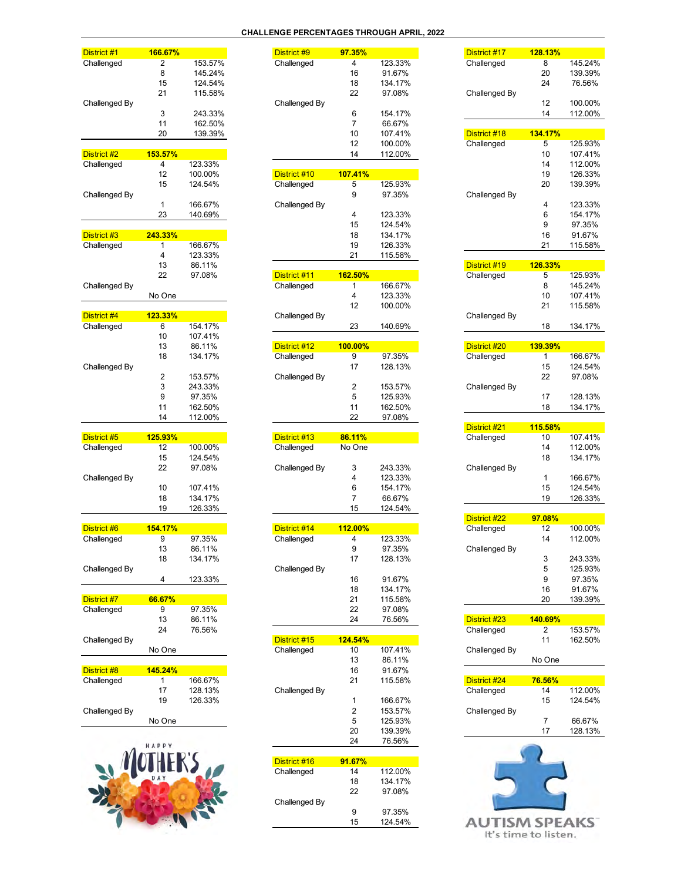#### **CHALLENGE PERCENTAGES THROUGH APRIL, 2022**

| District #1               | 166.67%        |                   |
|---------------------------|----------------|-------------------|
| Challenged                | 2              | 153.57%           |
|                           | 8              | 145.24%           |
|                           | 15             | 124.54%           |
| Challenged By             | 21             | 115.58%           |
|                           | 3              | 243.33%           |
|                           | 11             | 162.50%           |
|                           | 20             | 139.39%           |
| District #2               | 153.57%        |                   |
| Challenged                | 4              | 123.33%           |
|                           | 12             | 100.00%           |
|                           | 15             | 124.54%           |
| Challenged By             |                |                   |
|                           | 1              | 166.67%           |
|                           | 23             | 140.69%           |
| District #3               | <b>243.33%</b> |                   |
| Challenged                | 1              | 166.67%           |
|                           | 4              | 123.33%           |
|                           | 13             | 86.11%            |
| Challenged By             | 22             | 97.08%            |
|                           | No One         |                   |
|                           | 123.33%        |                   |
| District #4<br>Challenged | 6              | 154.17%           |
|                           | 10             | 107.41%           |
|                           | 13             | 86.11%            |
|                           | 18             | 134.17%           |
| Challenged By             |                |                   |
|                           | 2              | 153.57%           |
|                           | 3              | 243.33%           |
|                           | 9              | 97.35%<br>162.50% |
|                           |                |                   |
|                           | 11             |                   |
|                           | 14             | 112.00%           |
| District #5               | 125.93%        |                   |
| Challenged                | 12             | 100.00%           |
|                           | 15             | 124.54%           |
|                           | 22             | 97.08%            |
| Challenged By             | 10             | 107.41%           |
|                           | 18             | 134.17%           |
|                           | 19             | 126.33%           |
|                           | 154.17%        |                   |
| District #6               | 9              | 97.35%            |
| Challenged                | 13             | 86.11%            |
|                           | 18             | 134.17%           |
| Challenged By             |                |                   |
|                           | 4              | 123.33%           |
| District #7               | 66.67%         |                   |
| Challenged                | 9              | 97.35%            |
|                           | 13             | 86.11%            |
|                           | 24             | 76.56%            |
| Challenged By             | No One         |                   |
|                           |                |                   |
| District #8<br>Challenged | 145.24%<br>1   | 166.67%           |
|                           | 17             | 128.13%           |
|                           | 19             | 126.33%           |
| Challenged By             |                |                   |
|                           | No One         |                   |

| HAPPY<br>MOTHER'S |  |
|-------------------|--|
|                   |  |

| District #1   | 166.67%                 |         | District #9   | 97.35%         |         | District #17         | 128.13%      |         |
|---------------|-------------------------|---------|---------------|----------------|---------|----------------------|--------------|---------|
| Challenged    | 2                       | 153.57% | Challenged    | 4              | 123.33% | Challenged           | 8            | 145.24% |
|               | 8                       | 145.24% |               | 16             | 91.67%  |                      | 20           | 139.39% |
|               | 15                      | 124.54% |               | 18             | 134.17% |                      | 24           | 76.56%  |
|               | 21                      | 115.58% |               | 22             | 97.08%  | Challenged By        |              |         |
| Challenged By |                         |         | Challenged By |                |         |                      | 12           | 100.00% |
|               | 3                       | 243.33% |               | 6              | 154.17% |                      | 14           | 112.00% |
|               | 11                      | 162.50% |               | 7              | 66.67%  |                      |              |         |
|               | 20                      |         |               |                |         |                      |              |         |
|               |                         | 139.39% |               | 10             | 107.41% | District #18         | 134.17%      |         |
|               |                         |         |               | 12             | 100.00% | Challenged           | 5            | 125.93% |
| District #2   | 153.57%                 |         |               | 14             | 112.00% |                      | 10           | 107.41% |
| Challenged    | 4                       | 123.33% |               |                |         |                      | 14           | 112.00% |
|               | 12                      | 100.00% | District #10  | 107.41%        |         |                      | 19           | 126.33% |
|               | 15                      | 124.54% | Challenged    | 5              | 125.93% |                      | 20           | 139.39% |
| Challenged By |                         |         |               | 9              | 97.35%  | Challenged By        |              |         |
|               | 1                       | 166.67% | Challenged By |                |         |                      | 4            | 123.33% |
|               | 23                      | 140.69% |               | 4              | 123.33% |                      | 6            | 154.17% |
|               |                         |         |               | 15             | 124.54% |                      | 9            | 97.35%  |
| District #3   | 243.33%                 |         |               | 18             | 134.17% |                      | 16           | 91.67%  |
| Challenged    | 1                       | 166.67% |               | 19             | 126.33% |                      | 21           | 115.58% |
|               | 4                       | 123.33% |               | 21             | 115.58% |                      |              |         |
|               | 13                      | 86.11%  |               |                |         | District #19         | 126.33%      |         |
|               | 22                      | 97.08%  | District #11  | 162.50%        |         | Challenged           | 5            | 125.93% |
| Challenged By |                         |         | Challenged    | 1              | 166.67% |                      | 8            | 145.24% |
|               | No One                  |         |               | 4              | 123.33% |                      | 10           | 107.41% |
|               |                         |         |               |                |         |                      | 21           |         |
|               |                         |         |               | 12             | 100.00% |                      |              | 115.58% |
| District #4   | 123.33%                 |         | Challenged By |                |         | Challenged By        |              |         |
| Challenged    | 6                       | 154.17% |               | 23             | 140.69% |                      | 18           | 134.17% |
|               | 10                      | 107.41% |               |                |         |                      |              |         |
|               | 13                      | 86.11%  | District #12  | 100.00%        |         | District #20         | 139.39%      |         |
|               | 18                      | 134.17% | Challenged    | 9              | 97.35%  | Challenged           | 1            | 166.67% |
| Challenged By |                         |         |               | 17             | 128.13% |                      | 15           | 124.54% |
|               | $\overline{\mathbf{c}}$ | 153.57% | Challenged By |                |         |                      | 22           | 97.08%  |
|               | 3                       | 243.33% |               | 2              | 153.57% | Challenged By        |              |         |
|               | 9                       | 97.35%  |               | 5              | 125.93% |                      | 17           | 128.13% |
|               | 11                      | 162.50% |               | 11             | 162.50% |                      | 18           | 134.17% |
|               | 14                      | 112.00% |               | 22             | 97.08%  |                      |              |         |
|               |                         |         |               |                |         |                      |              |         |
|               |                         |         |               |                |         | District #21         | 115.58%      |         |
| District #5   | 125.93%                 |         | District #13  | 86.11%         |         | Challenged           | 10           | 107.41% |
| Challenged    | 12                      | 100.00% | Challenged    | No One         |         |                      | 14           | 112.00% |
|               | 15                      | 124.54% |               |                |         |                      | 18           | 134.17% |
|               | 22                      | 97.08%  | Challenged By | 3              | 243.33% | Challenged By        |              |         |
| Challenged By |                         |         |               | 4              | 123.33% |                      | $\mathbf{1}$ | 166.67% |
|               | 10                      | 107.41% |               | 6              | 154.17% |                      | 15           | 124.54% |
|               | 18                      | 134.17% |               | $\overline{7}$ | 66.67%  |                      | 19           | 126.33% |
|               | 19                      | 126.33% |               | 15             | 124.54% |                      |              |         |
|               |                         |         |               |                |         | District #22         | 97.08%       |         |
| District #6   | 154.17%                 |         | District #14  | 112.00%        |         | Challenged           | 12           | 100.00% |
| Challenged    | 9                       | 97.35%  | Challenged    | 4              | 123.33% |                      | 14           | 112.00% |
|               | 13                      | 86.11%  |               | 9              | 97.35%  | Challenged By        |              |         |
|               | 18                      | 134.17% |               | 17             | 128.13% |                      | 3            | 243.33% |
| Challenged By |                         |         | Challenged By |                |         |                      | 5            | 125.93% |
|               | 4                       | 123.33% |               | 16             | 91.67%  |                      | 9            |         |
|               |                         |         |               |                |         |                      |              | 97.35%  |
|               |                         |         |               | 18             | 134.17% |                      | 16           | 91.67%  |
| District #7   | 66.67%                  |         |               | 21             | 115.58% |                      | 20           | 139.39% |
| Challenged    | 9                       | 97.35%  |               | 22             | 97.08%  |                      |              |         |
|               | 13                      | 86.11%  |               | 24             | 76.56%  | District #23         | 140.69%      |         |
|               | 24                      | 76.56%  |               |                |         | Challenged           | 2            | 153.57% |
| Challenged By |                         |         | District #15  | 124.54%        |         |                      | 11           | 162.50% |
|               | No One                  |         | Challenged    | 10             | 107.41% | Challenged By        |              |         |
|               |                         |         |               | 13             | 86.11%  |                      | No One       |         |
| District #8   | 145.24%                 |         |               | 16             | 91.67%  |                      |              |         |
| Challenged    | 1                       | 166.67% |               | 21             | 115.58% | District #24         | 76.56%       |         |
|               | 17                      | 128.13% | Challenged By |                |         | Challenged           | 14           | 112.00% |
|               | 19                      | 126.33% |               | 1              | 166.67% |                      | 15           | 124.54% |
| Challenged By |                         |         |               | 2              | 153.57% | Challenged By        |              |         |
|               |                         |         |               | 5              | 125.93% |                      | 7            | 66.67%  |
|               | No One                  |         |               |                |         |                      | 17           |         |
|               |                         |         |               | 20             | 139.39% |                      |              | 128.13% |
|               | HAPPY                   |         |               | 24             | 76.56%  |                      |              |         |
|               |                         |         |               |                |         |                      |              |         |
|               |                         |         | District #16  | 91.67%         |         |                      |              |         |
|               |                         |         | Challenged    | 14             | 112.00% |                      |              |         |
|               |                         |         |               | 18             | 134.17% |                      |              |         |
|               |                         |         |               | 22             | 97.08%  |                      |              |         |
|               |                         |         | Challenged By |                |         |                      |              |         |
|               |                         |         |               | 9              | 97.35%  |                      |              |         |
|               |                         |         |               | 15             | 124.54% | <b>AUTISM SPEAKS</b> |              |         |
|               |                         |         |               |                |         |                      |              |         |

| .35%        |         | District #17         | <b>128.13%</b> |         |
|-------------|---------|----------------------|----------------|---------|
| 4           | 123.33% | Challenged           | 8              | 145.24% |
| 16          | 91.67%  |                      | 20             | 139.39% |
| 18          | 134.17% |                      | 24             | 76.56%  |
| 22          | 97.08%  | Challenged By        |                |         |
|             |         |                      | 12             | 100.00% |
| 6           | 154.17% |                      | 14             | 112.00% |
| 7           | 66.67%  |                      |                |         |
| 10          | 107.41% | District #18         | 134.17%        |         |
| 12          | 100.00% | Challenged           | 5              | 125.93% |
| 14          | 112.00% |                      | 10             | 107.41% |
|             |         |                      | 14             | 112.00% |
| <b>.41%</b> |         |                      | 19             | 126.33% |
| 5           | 125.93% |                      | 20             | 139.39% |
| 9           | 97.35%  | Challenged By        |                |         |
|             |         |                      | 4              | 123.33% |
| 4           | 123.33% |                      | 6              | 154.17% |
| 15          | 124.54% |                      | 9              | 97.35%  |
| 18          | 134.17% |                      | 16             | 91.67%  |
| 19          | 126.33% |                      | 21             | 115.58% |
| 21          | 115.58% |                      |                |         |
|             |         | District #19         | 126.33%        |         |
| $2.50\%$    |         | Challenged           | 5              | 125.93% |
| 1           | 166.67% |                      | 8              | 145.24% |
| 4           | 123.33% |                      | 10             | 107.41% |
| 12          | 100.00% |                      | 21             | 115.58% |
|             |         | Challenged By        |                |         |
| 23          | 140.69% |                      | 18             | 134.17% |
| $.00\%$     |         | District #20         | 139.39%        |         |
| 9           | 97.35%  | Challenged           | 1              | 166.67% |
| 17          | 128.13% |                      | 15             | 124.54% |
|             |         |                      | 22             | 97.08%  |
| 2           | 153.57% | Challenged By        |                |         |
| 5           | 125.93% |                      | 17             | 128.13% |
| 11          | 162.50% |                      | 18             | 134.17% |
| 22          | 97.08%  |                      |                |         |
|             |         | District #21         | 115.58%        |         |
| <b>11%</b>  |         | Challenged           | 10             | 107.41% |
| One         |         |                      | 14             | 112.00% |
|             |         |                      | 18             | 134.17% |
| 3           | 243.33% | Challenged By        |                |         |
| 4           | 123.33% |                      | 1              | 166.67% |
| 6           | 154.17% |                      | 15             | 124.54% |
| 7           | 66.67%  |                      | 19             | 126.33% |
| 15          | 124.54% |                      |                |         |
|             |         | District #22         | 97.08%         |         |
| $2.00\%$    |         | Challenged           | 12             | 100.00% |
| 4           | 123.33% |                      | 14             | 112.00% |
| 9           | 97.35%  | Challenged By        |                |         |
| 17          | 128.13% |                      | 3              | 243.33% |
|             |         |                      | 5              | 125.93% |
| 16          | 91.67%  |                      | 9              | 97.35%  |
| 18          | 134.17% |                      | 16             | 91.67%  |
| 21          | 115.58% |                      | 20             | 139.39% |
| 22          | 97.08%  |                      |                |         |
| 24          | 76.56%  | District #23         | <b>140.69%</b> |         |
|             |         | Challenged           | 2              | 153.57% |
| .54%        |         |                      | 11             | 162.50% |
| 10          | 107.41% | Challenged By        |                |         |
| 13          | 86.11%  |                      | No One         |         |
| 16          | 91.67%  |                      |                |         |
| 21          | 115.58% | District #24         | <b>76.56%</b>  |         |
|             |         | Challenged           | 14             | 112.00% |
| 1           | 166.67% |                      | 15             | 124.54% |
| 2           | 153.57% | Challenged By        |                |         |
| 5           | 125.93% |                      | 7              | 66.67%  |
| 20          | 139.39% |                      | 17             | 128.13% |
| 24          | 76.56%  |                      |                |         |
|             |         |                      |                |         |
| .67%        |         |                      |                |         |
| 14          | 112.00% |                      |                |         |
| 18          | 134.17% |                      |                |         |
| 22          | 97.08%  |                      |                |         |
|             |         |                      |                |         |
| 9           | 97.35%  |                      |                |         |
| 15          | 124.54% | <b>AUTISM SPEAKS</b> |                |         |

It's time to listen.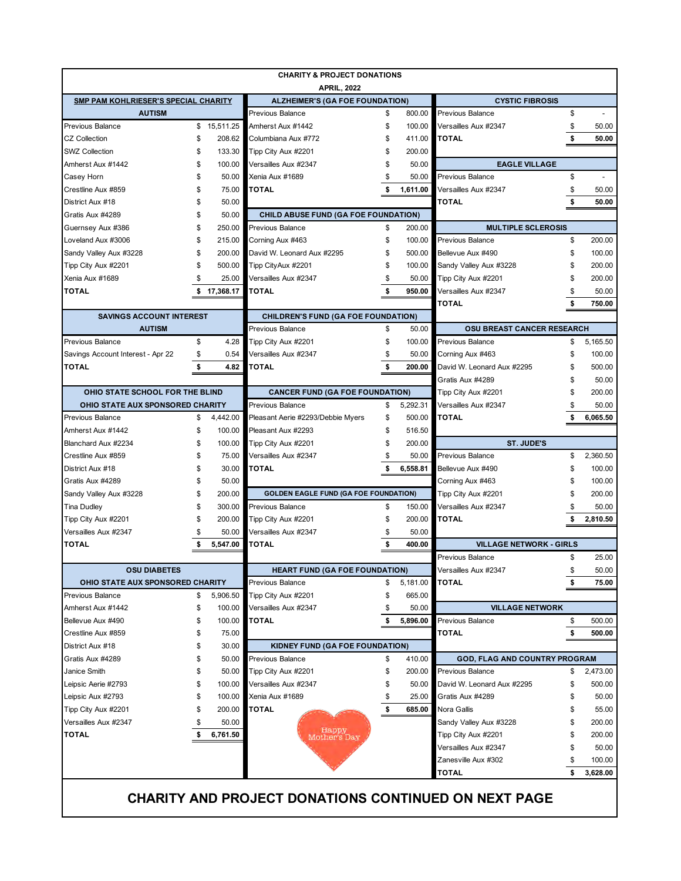|                                             | <b>CHARITY &amp; PROJECT DONATIONS</b> |                       |                                              |          |                  |                                      |          |                |  |  |
|---------------------------------------------|----------------------------------------|-----------------------|----------------------------------------------|----------|------------------|--------------------------------------|----------|----------------|--|--|
|                                             |                                        |                       | <b>APRIL, 2022</b>                           |          |                  |                                      |          |                |  |  |
| <b>SMP PAM KOHLRIESER'S SPECIAL CHARITY</b> |                                        |                       | <b>ALZHEIMER'S (GA FOE FOUNDATION)</b>       |          |                  | <b>CYSTIC FIBROSIS</b>               |          |                |  |  |
| <b>AUTISM</b><br>Previous Balance           |                                        |                       | Previous Balance                             |          | 800.00           | Previous Balance                     | \$       |                |  |  |
| <b>CZ Collection</b>                        | \$                                     | \$15,511.25<br>208.62 | Amherst Aux #1442<br>Columbiana Aux #772     | \$<br>\$ | 100.00<br>411.00 | Versailles Aux #2347<br><b>TOTAL</b> | \$<br>\$ | 50.00<br>50.00 |  |  |
|                                             | \$                                     |                       |                                              | \$       |                  |                                      |          |                |  |  |
| <b>SWZ Collection</b><br>Amherst Aux #1442  | \$                                     | 133.30<br>100.00      | Tipp City Aux #2201                          | \$       | 200.00<br>50.00  | <b>EAGLE VILLAGE</b>                 |          |                |  |  |
|                                             | \$                                     | 50.00                 | Versailles Aux #2347<br>Xenia Aux #1689      | \$       | 50.00            | Previous Balance                     | \$       |                |  |  |
| Casey Horn                                  |                                        | 75.00                 | <b>TOTAL</b>                                 |          | 1.611.00         |                                      |          |                |  |  |
| Crestline Aux #859<br>District Aux #18      | S                                      | 50.00                 |                                              |          |                  | Versailles Aux #2347<br><b>TOTAL</b> | \$<br>\$ | 50.00<br>50.00 |  |  |
| Gratis Aux #4289                            | S                                      | 50.00                 | <b>CHILD ABUSE FUND (GA FOE FOUNDATION)</b>  |          |                  |                                      |          |                |  |  |
| Guernsey Aux #386                           | \$                                     | 250.00                | Previous Balance                             | \$       | 200.00           | <b>MULTIPLE SCLEROSIS</b>            |          |                |  |  |
| Loveland Aux #3006                          | \$                                     | 215.00                | Corning Aux #463                             | \$       | 100.00           | Previous Balance                     | \$       | 200.00         |  |  |
| Sandy Valley Aux #3228                      | \$                                     | 200.00                | David W. Leonard Aux #2295                   | \$       | 500.00           | Bellevue Aux #490                    | \$       | 100.00         |  |  |
| Tipp City Aux #2201                         | \$                                     | 500.00                | Tipp CityAux #2201                           | \$       | 100.00           | Sandy Valley Aux #3228               | \$       | 200.00         |  |  |
| Xenia Aux #1689                             | \$                                     | 25.00                 | Versailles Aux #2347                         | \$       | 50.00            | Tipp City Aux #2201                  | \$       | 200.00         |  |  |
| <b>TOTAL</b>                                | \$                                     | 17.368.17             | TOTAL                                        | \$       | 950.00           | Versailles Aux #2347                 | \$       | 50.00          |  |  |
|                                             |                                        |                       |                                              |          |                  | <b>TOTAL</b>                         | \$       | 750.00         |  |  |
| <b>SAVINGS ACCOUNT INTEREST</b>             |                                        |                       | <b>CHILDREN'S FUND (GA FOE FOUNDATION)</b>   |          |                  |                                      |          |                |  |  |
| <b>AUTISM</b>                               |                                        |                       | Previous Balance                             | \$       | 50.00            | <b>OSU BREAST CANCER RESEARCH</b>    |          |                |  |  |
| Previous Balance                            | \$                                     | 4.28                  | Tipp City Aux #2201                          | \$       | 100.00           | Previous Balance                     | \$       | 5,165.50       |  |  |
| Savings Account Interest - Apr 22           | \$                                     | 0.54                  | Versailles Aux #2347                         | \$       | 50.00            | Corning Aux #463                     | \$       | 100.00         |  |  |
| <b>TOTAL</b>                                | \$                                     | 4.82                  | TOTAL                                        | \$       | 200.00           | David W. Leonard Aux #2295           | \$       | 500.00         |  |  |
|                                             |                                        |                       |                                              |          |                  | Gratis Aux #4289                     | S        | 50.00          |  |  |
| OHIO STATE SCHOOL FOR THE BLIND             |                                        |                       | <b>CANCER FUND (GA FOE FOUNDATION)</b>       |          |                  | Tipp City Aux #2201                  | \$       | 200.00         |  |  |
| OHIO STATE AUX SPONSORED CHARITY            |                                        |                       | Previous Balance                             | \$       | 5,292.31         | Versailles Aux #2347                 | \$       | 50.00          |  |  |
| Previous Balance                            | \$                                     | 4,442.00              | Pleasant Aerie #2293/Debbie Myers            | \$       | 500.00           | <b>TOTAL</b>                         | \$       | 6,065.50       |  |  |
| Amherst Aux #1442                           | \$                                     | 100.00                | Pleasant Aux #2293                           | \$       | 516.50           |                                      |          |                |  |  |
| Blanchard Aux #2234                         | \$                                     | 100.00                | Tipp City Aux #2201                          | \$       | 200.00           | <b>ST. JUDE'S</b>                    |          |                |  |  |
| Crestline Aux #859                          | \$                                     | 75.00                 | Versailles Aux #2347                         | \$       | 50.00            | Previous Balance                     | \$       | 2,360.50       |  |  |
| District Aux #18                            | S                                      | 30.00                 | TOTAL                                        |          | 6,558.81         | Bellevue Aux #490                    | \$       | 100.00         |  |  |
| Gratis Aux #4289                            | S                                      | 50.00                 |                                              |          |                  | Corning Aux #463                     | \$       | 100.00         |  |  |
| Sandy Valley Aux #3228                      | \$                                     | 200.00                | <b>GOLDEN EAGLE FUND (GA FOE FOUNDATION)</b> |          |                  | Tipp City Aux #2201                  | \$       | 200.00         |  |  |
| Tina Dudley                                 |                                        | 300.00                | Previous Balance                             | \$       | 150.00           | Versailles Aux #2347                 | S        | 50.00          |  |  |
| Tipp City Aux #2201                         | S                                      | 200.00                | Tipp City Aux #2201                          | \$       | 200.00           | <b>TOTAL</b>                         |          | 2,810.50       |  |  |
| Versailles Aux #2347                        | S                                      | 50.00                 | Versailles Aux #2347                         | \$       | 50.00            |                                      |          |                |  |  |
| <b>TOTAL</b>                                | \$                                     | 5.547.00              | TOTAL                                        | \$       | 400.00           | <b>VILLAGE NETWORK - GIRLS</b>       |          |                |  |  |
|                                             |                                        |                       |                                              |          |                  | Previous Balance                     | \$       | 25.00          |  |  |
| <b>OSU DIABETES</b>                         |                                        |                       | <b>HEART FUND (GA FOE FOUNDATION)</b>        |          |                  | Versailles Aux #2347                 | \$       | 50.00          |  |  |
| OHIO STATE AUX SPONSORED CHARITY            |                                        |                       | Previous Balance                             | \$       | 5,181.00         | <b>TOTAL</b>                         | \$       | 75.00          |  |  |
| <b>Previous Balance</b>                     | \$                                     | 5,906.50              | Tipp City Aux #2201                          | \$       | 665.00           |                                      |          |                |  |  |
| Amherst Aux #1442                           | \$                                     | 100.00                | Versailles Aux #2347                         | \$       | 50.00            | <b>VILLAGE NETWORK</b>               |          |                |  |  |
| Bellevue Aux #490                           | \$                                     | 100.00                | <b>TOTAL</b>                                 | \$       | 5,896.00         | Previous Balance                     | \$       | 500.00         |  |  |
| Crestline Aux #859                          | \$                                     | 75.00                 |                                              |          |                  | <b>TOTAL</b>                         | \$       | 500.00         |  |  |
| District Aux #18                            | \$                                     | 30.00                 | KIDNEY FUND (GA FOE FOUNDATION)              |          |                  |                                      |          |                |  |  |
| Gratis Aux #4289                            | \$                                     | 50.00                 | Previous Balance                             | \$       | 410.00           | <b>GOD, FLAG AND COUNTRY PROGRAM</b> |          |                |  |  |
| Janice Smith                                | \$                                     | 50.00                 | Tipp City Aux #2201                          | \$       | 200.00           | <b>Previous Balance</b>              | \$       | 2,473.00       |  |  |
| Leipsic Aerie #2793                         | \$                                     | 100.00                | Versailles Aux #2347                         | \$       | 50.00            | David W. Leonard Aux #2295           | \$       | 500.00         |  |  |
| Leipsic Aux #2793                           | \$                                     | 100.00                | Xenia Aux #1689                              | \$       | 25.00            | Gratis Aux #4289                     | \$       | 50.00          |  |  |
| Tipp City Aux #2201                         | \$                                     | 200.00                | <b>TOTAL</b>                                 | \$       | 685.00           | Nora Gallis                          | \$       | 55.00          |  |  |
| Versailles Aux #2347                        | S                                      | 50.00                 |                                              |          |                  | Sandy Valley Aux #3228               | \$       | 200.00         |  |  |
| TOTAL                                       | \$                                     | 6,761.50              | Happy<br>Mother's Day                        |          |                  | Tipp City Aux #2201                  | \$       | 200.00         |  |  |
|                                             |                                        |                       |                                              |          |                  | Versailles Aux #2347                 | \$       | 50.00          |  |  |
|                                             |                                        |                       |                                              |          |                  | Zanesville Aux #302                  | \$       | 100.00         |  |  |
|                                             |                                        |                       |                                              |          |                  | <b>TOTAL</b>                         | \$       | 3,628.00       |  |  |
|                                             |                                        |                       |                                              |          |                  |                                      |          |                |  |  |

**CHARITY AND PROJECT DONATIONS CONTINUED ON NEXT PAGE**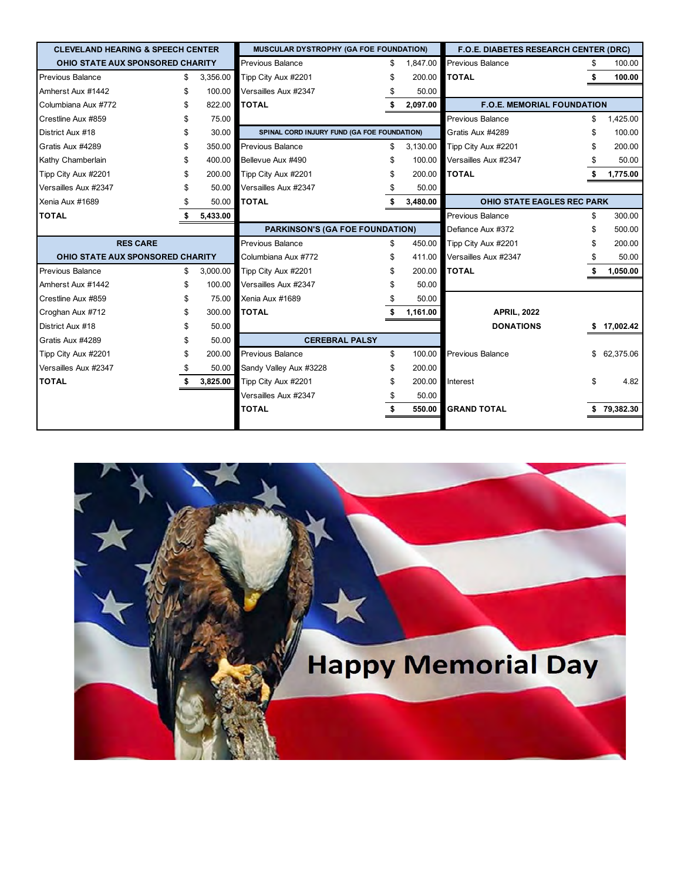| <b>CLEVELAND HEARING &amp; SPEECH CENTER</b> |    |          | MUSCULAR DYSTROPHY (GA FOE FOUNDATION)      |    |          | <b>F.O.E. DIABETES RESEARCH CENTER (DRC)</b> |    |           |
|----------------------------------------------|----|----------|---------------------------------------------|----|----------|----------------------------------------------|----|-----------|
| OHIO STATE AUX SPONSORED CHARITY             |    |          | <b>Previous Balance</b>                     |    | 1,847.00 | <b>Previous Balance</b>                      | S  | 100.00    |
| <b>Previous Balance</b>                      | \$ | 3,356.00 | Tipp City Aux #2201                         |    | 200.00   | <b>TOTAL</b>                                 | \$ | 100.00    |
| Amherst Aux #1442                            | \$ | 100.00   | Versailles Aux #2347                        |    | 50.00    |                                              |    |           |
| Columbiana Aux #772                          | S  | 822.00   | <b>TOTAL</b>                                |    | 2,097.00 | <b>F.O.E. MEMORIAL FOUNDATION</b>            |    |           |
| Crestline Aux #859                           |    | 75.00    |                                             |    |          | Previous Balance                             | S  | 1,425.00  |
| District Aux #18                             | S  | 30.00    | SPINAL CORD INJURY FUND (GA FOE FOUNDATION) |    |          | Gratis Aux #4289                             |    | 100.00    |
| Gratis Aux #4289                             | S  | 350.00   | Previous Balance                            | \$ | 3.130.00 | Tipp City Aux #2201                          |    | 200.00    |
| Kathy Chamberlain                            |    | 400.00   | Bellevue Aux #490                           |    | 100.00   | Versailles Aux #2347                         |    | 50.00     |
| Tipp City Aux #2201                          |    | 200.00   | Tipp City Aux #2201                         |    | 200.00   | <b>TOTAL</b>                                 |    | 1,775.00  |
| Versailles Aux #2347                         |    | 50.00    | Versailles Aux #2347                        |    | 50.00    |                                              |    |           |
| Xenia Aux #1689                              |    | 50.00    | <b>TOTAL</b>                                |    | 3,480.00 | <b>OHIO STATE EAGLES REC PARK</b>            |    |           |
| <b>TOTAL</b>                                 |    | 5,433.00 |                                             |    |          | Previous Balance                             | \$ | 300.00    |
|                                              |    |          | <b>PARKINSON'S (GA FOE FOUNDATION)</b>      |    |          | Defiance Aux #372                            |    | 500.00    |
| <b>RES CARE</b>                              |    |          | Previous Balance                            | \$ | 450.00   | Tipp City Aux #2201                          |    | 200.00    |
| OHIO STATE AUX SPONSORED CHARITY             |    |          | Columbiana Aux #772                         | \$ | 411.00   | Versailles Aux #2347                         |    | 50.00     |
| <b>Previous Balance</b>                      | \$ | 3.000.00 | Tipp City Aux #2201                         |    | 200.00   | <b>TOTAL</b>                                 |    | 1,050.00  |
| Amherst Aux #1442                            | \$ | 100.00   | Versailles Aux #2347                        |    | 50.00    |                                              |    |           |
| Crestline Aux #859                           | \$ | 75.00    | Xenia Aux #1689                             |    | 50.00    |                                              |    |           |
| Croghan Aux #712                             |    | 300.00   | <b>TOTAL</b>                                |    | 1,161.00 | <b>APRIL, 2022</b>                           |    |           |
| District Aux #18                             |    | 50.00    |                                             |    |          | <b>DONATIONS</b>                             |    | 17,002.42 |
| Gratis Aux #4289                             |    | 50.00    | <b>CEREBRAL PALSY</b>                       |    |          |                                              |    |           |
| Tipp City Aux #2201                          |    | 200.00   | Previous Balance                            | \$ | 100.00   | Previous Balance                             | \$ | 62,375.06 |
| Versailles Aux #2347                         |    | 50.00    | Sandy Valley Aux #3228                      |    | 200.00   |                                              |    |           |
| <b>TOTAL</b>                                 |    | 3,825.00 | Tipp City Aux #2201                         |    | 200.00   | Interest                                     |    | 4.82      |
|                                              |    |          | Versailles Aux #2347                        |    | 50.00    |                                              |    |           |
|                                              |    |          | <b>TOTAL</b>                                |    | 550.00   | <b>GRAND TOTAL</b>                           |    | 79,382.30 |
|                                              |    |          |                                             |    |          |                                              |    |           |

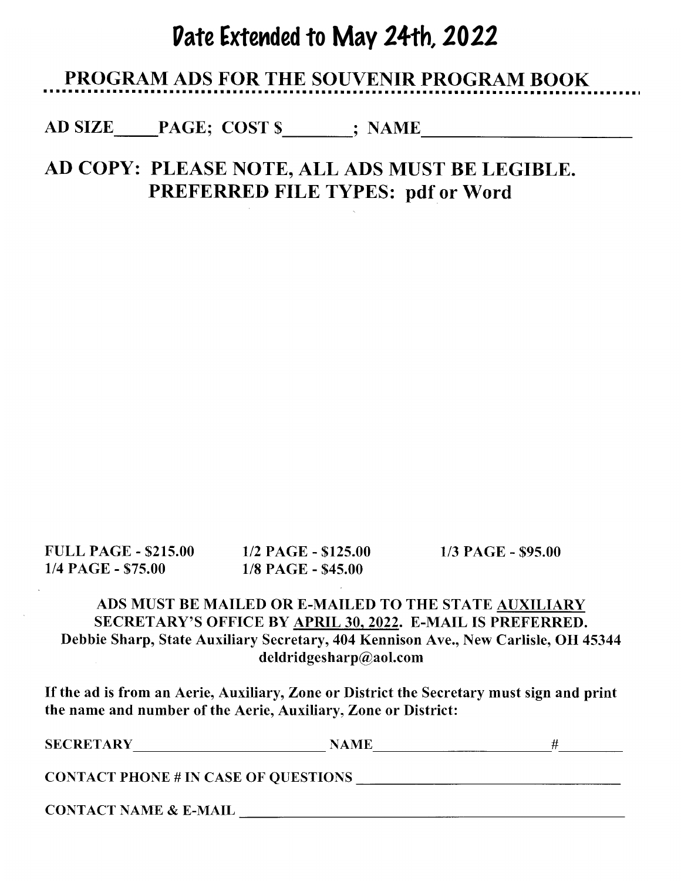# Date Extended to May 24th, 2022

### **PROGRAM ADS FOR THE SOUVENIR PROGRAM BOOK**

AD SIZE PAGE; COST \$; NAME

## AD COPY: PLEASE NOTE, ALL ADS MUST BE LEGIBLE. **PREFERRED FILE TYPES: pdf or Word**

**FULL PAGE - \$215.00** 1/4 PAGE - \$75.00

1/2 PAGE - \$125.00 1/8 PAGE - \$45.00

 $1/3$  PAGE - \$95.00

### ADS MUST BE MAILED OR E-MAILED TO THE STATE AUXILIARY SECRETARY'S OFFICE BY APRIL 30, 2022. E-MAIL IS PREFERRED. Debbie Sharp, State Auxiliary Secretary, 404 Kennison Ave., New Carlisle, OH 45344 deldridgesharp@aol.com

If the ad is from an Aerie, Auxiliary, Zone or District the Secretary must sign and print the name and number of the Aerie, Auxiliary, Zone or District:

| <b>SECRETARY</b>                            | <b>NAME</b> |  |
|---------------------------------------------|-------------|--|
| <b>CONTACT PHONE # IN CASE OF QUESTIONS</b> |             |  |
| <b>CONTACT NAME &amp; E-MAIL</b>            |             |  |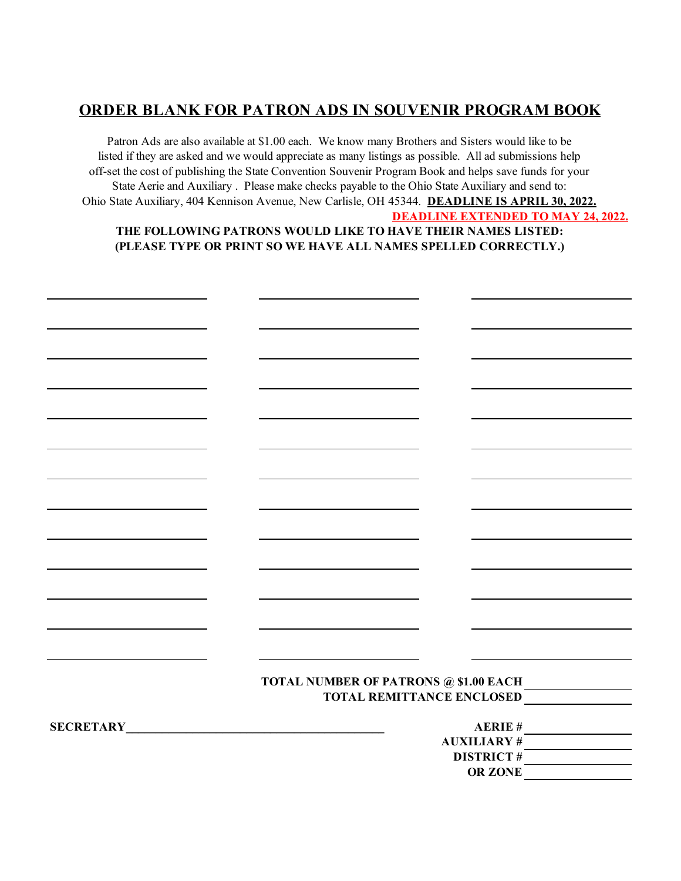### **ORDER BLANK FOR PATRON ADS IN SOUVENIR PROGRAM BOOK**

**DEADLINE EXTENDED TO MAY 24, 2022.** Patron Ads are also available at \$1.00 each. We know many Brothers and Sisters would like to be listed if they are asked and we would appreciate as many listings as possible. All ad submissions help off-set the cost of publishing the State Convention Souvenir Program Book and helps save funds for your State Aerie and Auxiliary . Please make checks payable to the Ohio State Auxiliary and send to: Ohio State Auxiliary, 404 Kennison Avenue, New Carlisle, OH 45344. **DEADLINE IS APRIL 30, 2022. THE FOLLOWING PATRONS WOULD LIKE TO HAVE THEIR NAMES LISTED:**

### **(PLEASE TYPE OR PRINT SO WE HAVE ALL NAMES SPELLED CORRECTLY.)**

|                  | <b>TOTAL NUMBER OF PATRONS @ \$1.00 EACH</b> | TOTAL REMITTANCE ENCLOSED |
|------------------|----------------------------------------------|---------------------------|
|                  |                                              |                           |
|                  |                                              | <b>AERIE#</b>             |
| <b>SECRETARY</b> |                                              | <b>AUXILIARY#</b>         |
|                  |                                              |                           |
|                  |                                              | <b>DISTRICT#</b>          |
|                  |                                              | OR ZONE                   |
|                  |                                              |                           |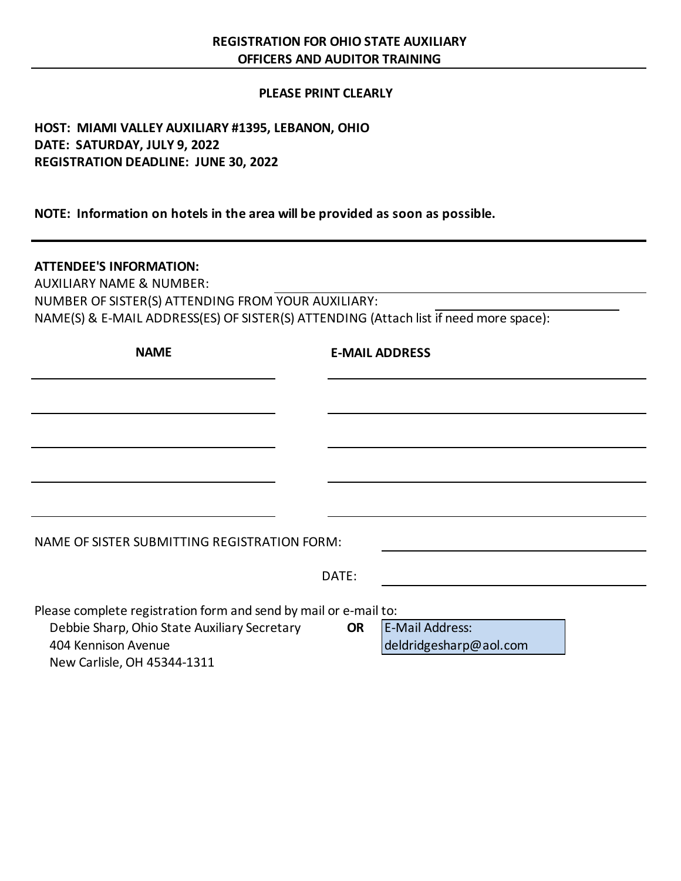### **PLEASE PRINT CLEARLY**

### **HOST: MIAMI VALLEY AUXILIARY #1395, LEBANON, OHIO DATE: SATURDAY, JULY 9, 2022 REGISTRATION DEADLINE: JUNE 30, 2022**

**NOTE: Information on hotels in the area will be provided as soon as possible.**

### **ATTENDEE'S INFORMATION:**

AUXILIARY NAME & NUMBER: NUMBER OF SISTER(S) ATTENDING FROM YOUR AUXILIARY: NAME(S) & E-MAIL ADDRESS(ES) OF SISTER(S) ATTENDING (Attach list if need more space):

| <b>NAME</b>                                                         | <b>E-MAIL ADDRESS</b>                                         |
|---------------------------------------------------------------------|---------------------------------------------------------------|
|                                                                     |                                                               |
|                                                                     |                                                               |
|                                                                     |                                                               |
|                                                                     |                                                               |
| NAME OF SISTER SUBMITTING REGISTRATION FORM:                        |                                                               |
| DATE:                                                               |                                                               |
| Please complete registration form and send by mail or e-mail to:    |                                                               |
| Debbie Sharp, Ohio State Auxiliary Secretary<br>404 Kennison Avenue | <b>E-Mail Address:</b><br><b>OR</b><br>deldridgesharp@aol.com |

New Carlisle, OH 45344-1311